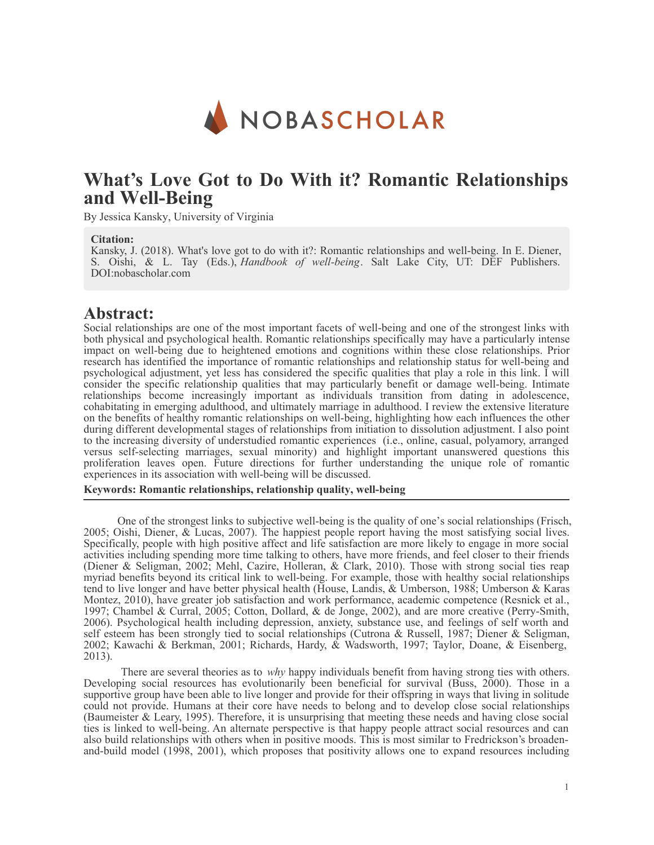

# **What's Love Got to Do With it? Romantic Relationships and Well-Being**

By Jessica Kansky, University of Virginia

#### **Citation:**

Kansky, J. (2018). What's love got to do with it?: Romantic relationships and well-being. In E. Diener, S. Oishi, & L. Tay (Eds.), *Handbook of well-being*. Salt Lake City, UT: DEF Publishers. DOI:nobascholar.com

### **Abstract:**

Social relationships are one of the most important facets of well-being and one of the strongest links with both physical and psychological health. Romantic relationships specifically may have a particularly intense impact on well-being due to heightened emotions and cognitions within these close relationships. Prior research has identified the importance of romantic relationships and relationship status for well-being and psychological adjustment, yet less has considered the specific qualities that play a role in this link. I will consider the specific relationship qualities that may particularly benefit or damage well-being. Intimate relationships become increasingly important as individuals transition from dating in adolescence, cohabitating in emerging adulthood, and ultimately marriage in adulthood. I review the extensive literature on the benefits of healthy romantic relationships on well-being, highlighting how each influences the other during different developmental stages of relationships from initiation to dissolution adjustment. I also point to the increasing diversity of understudied romantic experiences (i.e., online, casual, polyamory, arranged versus self-selecting marriages, sexual minority) and highlight important unanswered questions this proliferation leaves open. Future directions for further understanding the unique role of romantic experiences in its association with well-being will be discussed.

#### **Keywords: Romantic relationships, relationship quality, well-being**

One of the strongest links to subjective well-being is the quality of one's social relationships (Frisch, 2005; Oishi, Diener, & Lucas, 2007). The happiest people report having the most satisfying social lives. Specifically, people with high positive affect and life satisfaction are more likely to engage in more social activities including spending more time talking to others, have more friends, and feel closer to their friends (Diener & Seligman, 2002; Mehl, Cazire, Holleran, & Clark, 2010). Those with strong social ties reap myriad benefits beyond its critical link to well-being. For example, those with healthy social relationships tend to live longer and have better physical health (House, Landis, & Umberson, 1988; Umberson & Karas Montez, 2010), have greater job satisfaction and work performance, academic competence (Resnick et al., 1997; Chambel & Curral, 2005; Cotton, Dollard, & de Jonge, 2002), and are more creative (Perry-Smith, 2006). Psychological health including depression, anxiety, substance use, and feelings of self worth and self esteem has been strongly tied to social relationships (Cutrona & Russell, 1987; Diener & Seligman, 2002; Kawachi & Berkman, 2001; Richards, Hardy, & Wadsworth, 1997; Taylor, Doane, & Eisenberg, 2013).

There are several theories as to *why* happy individuals benefit from having strong ties with others. Developing social resources has evolutionarily been beneficial for survival (Buss, 2000). Those in a supportive group have been able to live longer and provide for their offspring in ways that living in solitude could not provide. Humans at their core have needs to belong and to develop close social relationships (Baumeister & Leary, 1995). Therefore, it is unsurprising that meeting these needs and having close social ties is linked to well-being. An alternate perspective is that happy people attract social resources and can also build relationships with others when in positive moods. This is most similar to Fredrickson's broadenand-build model (1998, 2001), which proposes that positivity allows one to expand resources including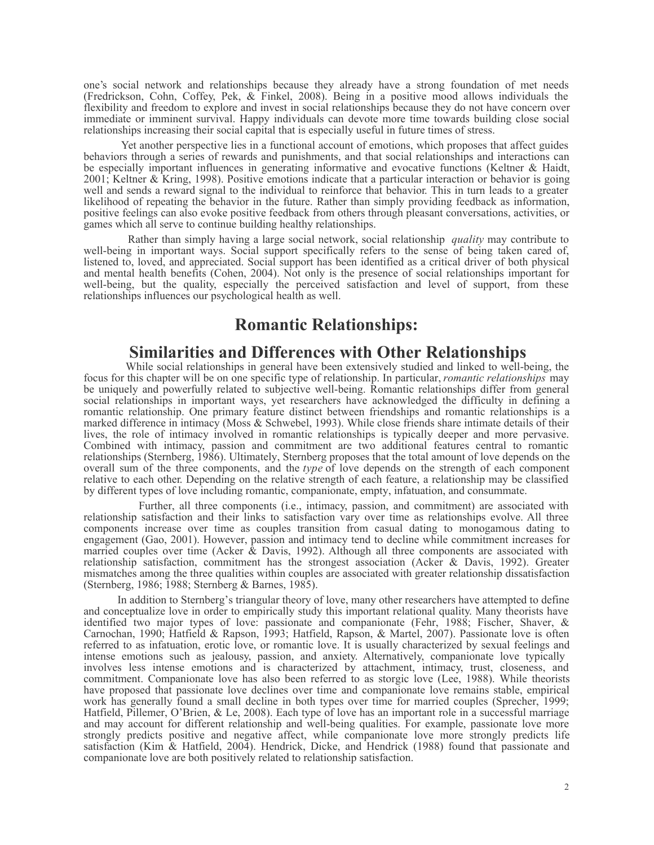one's social network and relationships because they already have a strong foundation of met needs (Fredrickson, Cohn, Coffey, Pek, & Finkel, 2008). Being in a positive mood allows individuals the flexibility and freedom to explore and invest in social relationships because they do not have concern over immediate or imminent survival. Happy individuals can devote more time towards building close social relationships increasing their social capital that is especially useful in future times of stress.

Yet another perspective lies in a functional account of emotions, which proposes that affect guides behaviors through a series of rewards and punishments, and that social relationships and interactions can be especially important influences in generating informative and evocative functions (Keltner & Haidt, 2001; Keltner & Kring, 1998). Positive emotions indicate that a particular interaction or behavior is going well and sends a reward signal to the individual to reinforce that behavior. This in turn leads to a greater likelihood of repeating the behavior in the future. Rather than simply providing feedback as information, positive feelings can also evoke positive feedback from others through pleasant conversations, activities, or games which all serve to continue building healthy relationships.

Rather than simply having a large social network, social relationship *quality* may contribute to well-being in important ways. Social support specifically refers to the sense of being taken cared of, listened to, loved, and appreciated. Social support has been identified as a critical driver of both physical and mental health benefits (Cohen, 2004). Not only is the presence of social relationships important for well-being, but the quality, especially the perceived satisfaction and level of support, from these relationships influences our psychological health as well.

# **Romantic Relationships:**

### **Similarities and Differences with Other Relationships**

While social relationships in general have been extensively studied and linked to well-being, the focus for this chapter will be on one specific type of relationship. In particular, *romantic relationships* may be uniquely and powerfully related to subjective well-being. Romantic relationships differ from general social relationships in important ways, yet researchers have acknowledged the difficulty in defining a romantic relationship. One primary feature distinct between friendships and romantic relationships is a marked difference in intimacy (Moss & Schwebel, 1993). While close friends share intimate details of their lives, the role of intimacy involved in romantic relationships is typically deeper and more pervasive. Combined with intimacy, passion and commitment are two additional features central to romantic relationships (Sternberg, 1986). Ultimately, Sternberg proposes that the total amount of love depends on the overall sum of the three components, and the *type* of love depends on the strength of each component relative to each other. Depending on the relative strength of each feature, a relationship may be classified by different types of love including romantic, companionate, empty, infatuation, and consummate.

Further, all three components (i.e., intimacy, passion, and commitment) are associated with relationship satisfaction and their links to satisfaction vary over time as relationships evolve. All three components increase over time as couples transition from casual dating to monogamous dating to engagement (Gao, 2001). However, passion and intimacy tend to decline while commitment increases for married couples over time (Acker & Davis, 1992). Although all three components are associated with relationship satisfaction, commitment has the strongest association (Acker & Davis, 1992). Greater mismatches among the three qualities within couples are associated with greater relationship dissatisfaction (Sternberg, 1986; 1988; Sternberg & Barnes, 1985).

In addition to Sternberg's triangular theory of love, many other researchers have attempted to define and conceptualize love in order to empirically study this important relational quality. Many theorists have identified two major types of love: passionate and companionate (Fehr, 1988; Fischer, Shaver, & Carnochan, 1990; Hatfield & Rapson, 1993; Hatfield, Rapson, & Martel, 2007). Passionate love is often referred to as infatuation, erotic love, or romantic love. It is usually characterized by sexual feelings and intense emotions such as jealousy, passion, and anxiety. Alternatively, companionate love typically involves less intense emotions and is characterized by attachment, intimacy, trust, closeness, and commitment. Companionate love has also been referred to as storgic love (Lee, 1988). While theorists have proposed that passionate love declines over time and companionate love remains stable, empirical work has generally found a small decline in both types over time for married couples (Sprecher, 1999; Hatfield, Pillemer, O'Brien, & Le, 2008). Each type of love has an important role in a successful marriage and may account for different relationship and well-being qualities. For example, passionate love more strongly predicts positive and negative affect, while companionate love more strongly predicts life satisfaction (Kim & Hatfield, 2004). Hendrick, Dicke, and Hendrick (1988) found that passionate and companionate love are both positively related to relationship satisfaction.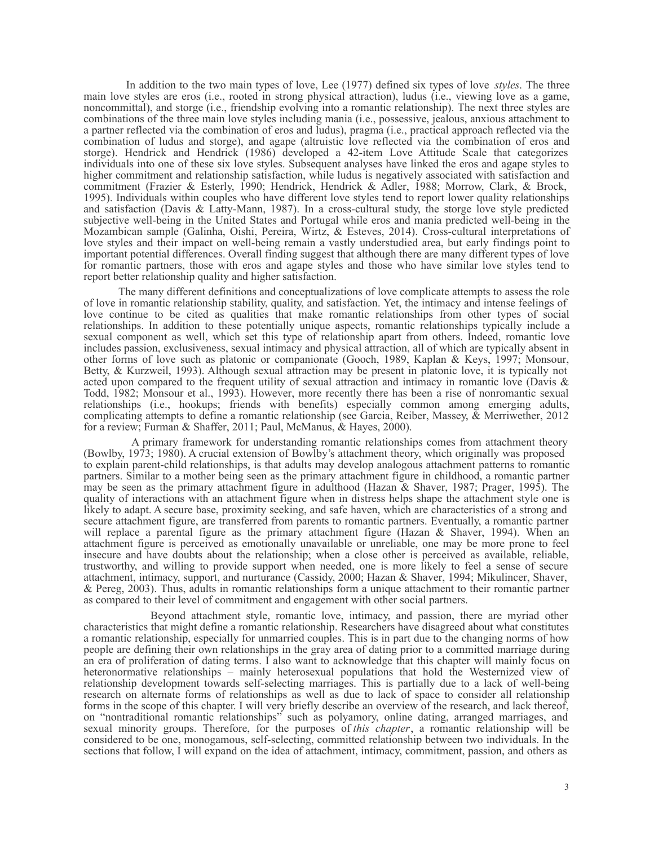In addition to the two main types of love, Lee (1977) defined six types of love *styles*. The three main love styles are eros (i.e., rooted in strong physical attraction), ludus (i.e., viewing love as a game, noncommittal), and storge (i.e., friendship evolving into a romantic relationship). The next three styles are combinations of the three main love styles including mania (i.e., possessive, jealous, anxious attachment to a partner reflected via the combination of eros and ludus), pragma (i.e., practical approach reflected via the combination of ludus and storge), and agape (altruistic love reflected via the combination of eros and storge). Hendrick and Hendrick (1986) developed a 42-item Love Attitude Scale that categorizes individuals into one of these six love styles. Subsequent analyses have linked the eros and agape styles to higher commitment and relationship satisfaction, while ludus is negatively associated with satisfaction and commitment (Frazier & Esterly, 1990; Hendrick, Hendrick & Adler, 1988; Morrow, Clark, & Brock, 1995). Individuals within couples who have different love styles tend to report lower quality relationships and satisfaction (Davis & Latty-Mann, 1987). In a cross-cultural study, the storge love style predicted subjective well-being in the United States and Portugal while eros and mania predicted well-being in the Mozambican sample (Galinha, Oishi, Pereira, Wirtz, & Esteves, 2014). Cross-cultural interpretations of love styles and their impact on well-being remain a vastly understudied area, but early findings point to important potential differences. Overall finding suggest that although there are many different types of love for romantic partners, those with eros and agape styles and those who have similar love styles tend to report better relationship quality and higher satisfaction.

The many different definitions and conceptualizations of love complicate attempts to assess the role of love in romantic relationship stability, quality, and satisfaction. Yet, the intimacy and intense feelings of love continue to be cited as qualities that make romantic relationships from other types of social relationships. In addition to these potentially unique aspects, romantic relationships typically include a sexual component as well, which set this type of relationship apart from others. Indeed, romantic love includes passion, exclusiveness, sexual intimacy and physical attraction, all of which are typically absent in other forms of love such as platonic or companionate (Gooch, 1989, Kaplan & Keys, 1997; Monsour, Betty, & Kurzweil, 1993). Although sexual attraction may be present in platonic love, it is typically not acted upon compared to the frequent utility of sexual attraction and intimacy in romantic love (Davis & Todd, 1982; Monsour et al., 1993). However, more recently there has been a rise of nonromantic sexual relationships (i.e., hookups; friends with benefits) especially common among emerging adults, complicating attempts to define a romantic relationship (see Garcia, Reiber, Massey, & Merriwether, 2012 for a review; Furman & Shaffer, 2011; Paul, McManus, & Hayes, 2000).

A primary framework for understanding romantic relationships comes from attachment theory (Bowlby, 1973; 1980). A crucial extension of Bowlby's attachment theory, which originally was proposed to explain parent-child relationships, is that adults may develop analogous attachment patterns to romantic partners. Similar to a mother being seen as the primary attachment figure in childhood, a romantic partner may be seen as the primary attachment figure in adulthood (Hazan & Shaver, 1987; Prager, 1995). The quality of interactions with an attachment figure when in distress helps shape the attachment style one is likely to adapt. A secure base, proximity seeking, and safe haven, which are characteristics of a strong and secure attachment figure, are transferred from parents to romantic partners. Eventually, a romantic partner will replace a parental figure as the primary attachment figure (Hazan & Shaver, 1994). When an attachment figure is perceived as emotionally unavailable or unreliable, one may be more prone to feel insecure and have doubts about the relationship; when a close other is perceived as available, reliable, trustworthy, and willing to provide support when needed, one is more likely to feel a sense of secure attachment, intimacy, support, and nurturance (Cassidy, 2000; Hazan & Shaver, 1994; Mikulincer, Shaver, & Pereg, 2003). Thus, adults in romantic relationships form a unique attachment to their romantic partner as compared to their level of commitment and engagement with other social partners.

Beyond attachment style, romantic love, intimacy, and passion, there are myriad other characteristics that might define a romantic relationship. Researchers have disagreed about what constitutes a romantic relationship, especially for unmarried couples. This is in part due to the changing norms of how people are defining their own relationships in the gray area of dating prior to a committed marriage during an era of proliferation of dating terms. I also want to acknowledge that this chapter will mainly focus on heteronormative relationships – mainly heterosexual populations that hold the Westernized view of relationship development towards self-selecting marriages. This is partially due to a lack of well-being research on alternate forms of relationships as well as due to lack of space to consider all relationship forms in the scope of this chapter. I will very briefly describe an overview of the research, and lack thereof, on "nontraditional romantic relationships" such as polyamory, online dating, arranged marriages, and sexual minority groups. Therefore, for the purposes of *this chapter*, a romantic relationship will be considered to be one, monogamous, self-selecting, committed relationship between two individuals. In the sections that follow, I will expand on the idea of attachment, intimacy, commitment, passion, and others as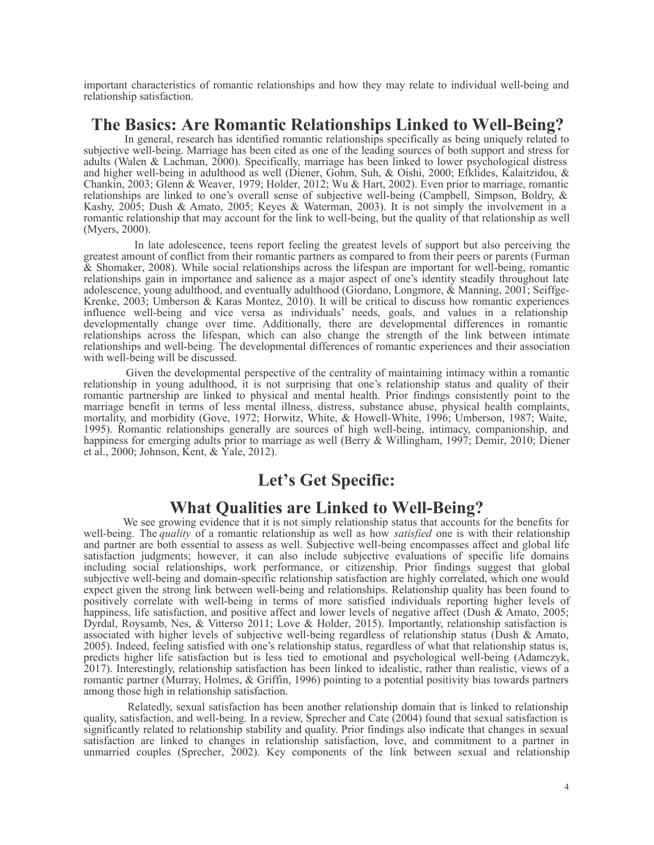important characteristics of romantic relationships and how they may relate to individual well-being and relationship satisfaction.

# **The Basics: Are Romantic Relationships Linked to Well-Being?**

In general, research has identified romantic relationships specifically as being uniquely related to subjective well-being. Marriage has been cited as one of the leading sources of both support and stress for adults (Walen & Lachman, 2000). Specifically, marriage has been linked to lower psychological distress and higher well-being in adulthood as well (Diener, Gohm, Suh, & Oishi, 2000; Efklides, Kalaitzidou, & Chankin, 2003; Glenn & Weaver, 1979; Holder, 2012; Wu & Hart, 2002). Even prior to marriage, romantic relationships are linked to one's overall sense of subjective well-being (Campbell, Simpson, Boldry, & Kashy, 2005; Dush & Amato, 2005; Keyes & Waterman, 2003). It is not simply the involvement in a romantic relationship that may account for the link to well-being, but the quality of that relationship as well (Myers, 2000).

In late adolescence, teens report feeling the greatest levels of support but also perceiving the greatest amount of conflict from their romantic partners as compared to from their peers or parents (Furman & Shomaker, 2008). While social relationships across the lifespan are important for well-being, romantic relationships gain in importance and salience as a major aspect of one's identity steadily throughout late adolescence, young adulthood, and eventually adulthood (Giordano, Longmore, & Manning, 2001; Seiffge-Krenke, 2003; Umberson & Karas Montez, 2010). It will be critical to discuss how romantic experiences influence well-being and vice versa as individuals' needs, goals, and values in a relationship developmentally change over time. Additionally, there are developmental differences in romantic relationships across the lifespan, which can also change the strength of the link between intimate relationships and well-being. The developmental differences of romantic experiences and their association with well-being will be discussed.

Given the developmental perspective of the centrality of maintaining intimacy within a romantic relationship in young adulthood, it is not surprising that one's relationship status and quality of their romantic partnership are linked to physical and mental health. Prior findings consistently point to the marriage benefit in terms of less mental illness, distress, substance abuse, physical health complaints, mortality, and morbidity (Gove, 1972; Horwitz, White, & Howell-White, 1996; Umberson, 1987; Waite, 1995). Romantic relationships generally are sources of high well-being, intimacy, companionship, and happiness for emerging adults prior to marriage as well (Berry & Willingham, 1997; Demir, 2010; Diener et al., 2000; Johnson, Kent, & Yale, 2012).

# **Let's Get Specific:**

### **What Qualities are Linked to Well-Being?**

We see growing evidence that it is not simply relationship status that accounts for the benefits for well-being. The *quality* of a romantic relationship as well as how *satisfied* one is with their relationship and partner are both essential to assess as well. Subjective well-being encompasses affect and global life satisfaction judgments; however, it can also include subjective evaluations of specific life domains including social relationships, work performance, or citizenship. Prior findings suggest that global subjective well-being and domain-specific relationship satisfaction are highly correlated, which one would expect given the strong link between well-being and relationships. Relationship quality has been found to positively correlate with well-being in terms of more satisfied individuals reporting higher levels of happiness, life satisfaction, and positive affect and lower levels of negative affect (Dush & Amato, 2005; Dyrdal, Roysamb, Nes, & Vitterso 2011; Love & Holder, 2015). Importantly, relationship satisfaction is associated with higher levels of subjective well-being regardless of relationship status (Dush & Amato, 2005). Indeed, feeling satisfied with one's relationship status, regardless of what that relationship status is, predicts higher life satisfaction but is less tied to emotional and psychological well-being (Adamczyk, 2017). Interestingly, relationship satisfaction has been linked to idealistic, rather than realistic, views of a romantic partner (Murray, Holmes, & Griffin, 1996) pointing to a potential positivity bias towards partners among those high in relationship satisfaction.

Relatedly, sexual satisfaction has been another relationship domain that is linked to relationship quality, satisfaction, and well-being. In a review, Sprecher and Cate (2004) found that sexual satisfaction is significantly related to relationship stability and quality. Prior findings also indicate that changes in sexual satisfaction are linked to changes in relationship satisfaction, love, and commitment to a partner in unmarried couples (Sprecher, 2002). Key components of the link between sexual and relationship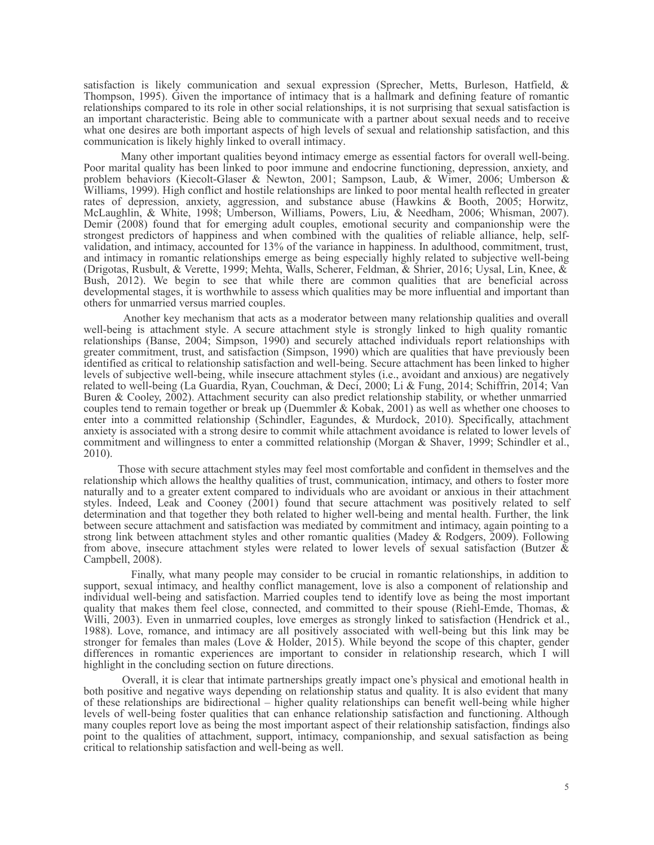satisfaction is likely communication and sexual expression (Sprecher, Metts, Burleson, Hatfield, & Thompson, 1995). Given the importance of intimacy that is a hallmark and defining feature of romantic relationships compared to its role in other social relationships, it is not surprising that sexual satisfaction is an important characteristic. Being able to communicate with a partner about sexual needs and to receive what one desires are both important aspects of high levels of sexual and relationship satisfaction, and this communication is likely highly linked to overall intimacy.

Many other important qualities beyond intimacy emerge as essential factors for overall well-being. Poor marital quality has been linked to poor immune and endocrine functioning, depression, anxiety, and problem behaviors (Kiecolt-Glaser & Newton, 2001; Sampson, Laub, & Wimer, 2006; Umberson & Williams, 1999). High conflict and hostile relationships are linked to poor mental health reflected in greater rates of depression, anxiety, aggression, and substance abuse (Hawkins & Booth, 2005; Horwitz, McLaughlin, & White, 1998; Umberson, Williams, Powers, Liu, & Needham, 2006; Whisman, 2007). Demir (2008) found that for emerging adult couples, emotional security and companionship were the strongest predictors of happiness and when combined with the qualities of reliable alliance, help, selfvalidation, and intimacy, accounted for 13% of the variance in happiness. In adulthood, commitment, trust, and intimacy in romantic relationships emerge as being especially highly related to subjective well-being (Drigotas, Rusbult, & Verette, 1999; Mehta, Walls, Scherer, Feldman, & Shrier, 2016; Uysal, Lin, Knee, & Bush, 2012). We begin to see that while there are common qualities that are beneficial across developmental stages, it is worthwhile to assess which qualities may be more influential and important than others for unmarried versus married couples.

Another key mechanism that acts as a moderator between many relationship qualities and overall well-being is attachment style. A secure attachment style is strongly linked to high quality romantic relationships (Banse, 2004; Simpson, 1990) and securely attached individuals report relationships with greater commitment, trust, and satisfaction (Simpson, 1990) which are qualities that have previously been identified as critical to relationship satisfaction and well-being. Secure attachment has been linked to higher levels of subjective well-being, while insecure attachment styles (i.e., avoidant and anxious) are negatively related to well-being (La Guardia, Ryan, Couchman, & Deci, 2000; Li & Fung, 2014; Schiffrin, 2014; Van Buren & Cooley, 2002). Attachment security can also predict relationship stability, or whether unmarried couples tend to remain together or break up (Duemmler & Kobak, 2001) as well as whether one chooses to enter into a committed relationship (Schindler, Eagundes, & Murdock, 2010). Specifically, attachment anxiety is associated with a strong desire to commit while attachment avoidance is related to lower levels of commitment and willingness to enter a committed relationship (Morgan & Shaver, 1999; Schindler et al., 2010).

Those with secure attachment styles may feel most comfortable and confident in themselves and the relationship which allows the healthy qualities of trust, communication, intimacy, and others to foster more naturally and to a greater extent compared to individuals who are avoidant or anxious in their attachment styles. Indeed, Leak and Cooney (2001) found that secure attachment was positively related to self determination and that together they both related to higher well-being and mental health. Further, the link between secure attachment and satisfaction was mediated by commitment and intimacy, again pointing to a strong link between attachment styles and other romantic qualities (Madey & Rodgers, 2009). Following from above, insecure attachment styles were related to lower levels of sexual satisfaction (Butzer & Campbell, 2008).

Finally, what many people may consider to be crucial in romantic relationships, in addition to support, sexual intimacy, and healthy conflict management, love is also a component of relationship and individual well-being and satisfaction. Married couples tend to identify love as being the most important quality that makes them feel close, connected, and committed to their spouse (Riehl-Emde, Thomas, & Willi, 2003). Even in unmarried couples, love emerges as strongly linked to satisfaction (Hendrick et al., 1988). Love, romance, and intimacy are all positively associated with well-being but this link may be stronger for females than males (Love & Holder, 2015). While beyond the scope of this chapter, gender differences in romantic experiences are important to consider in relationship research, which I will highlight in the concluding section on future directions.

Overall, it is clear that intimate partnerships greatly impact one's physical and emotional health in both positive and negative ways depending on relationship status and quality. It is also evident that many of these relationships are bidirectional – higher quality relationships can benefit well-being while higher levels of well-being foster qualities that can enhance relationship satisfaction and functioning. Although many couples report love as being the most important aspect of their relationship satisfaction, findings also point to the qualities of attachment, support, intimacy, companionship, and sexual satisfaction as being critical to relationship satisfaction and well-being as well.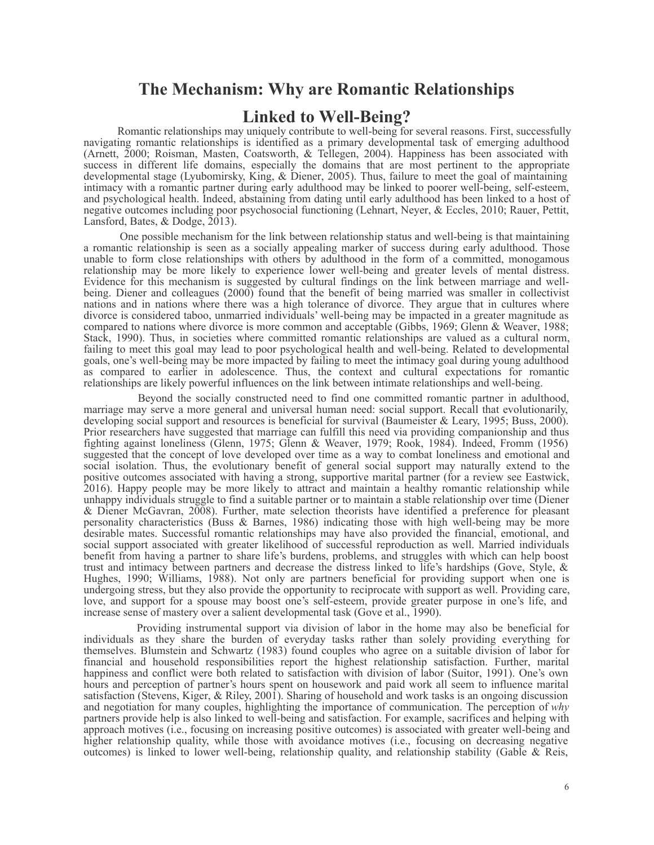### **The Mechanism: Why are Romantic Relationships**

### **Linked to Well-Being?**

Romantic relationships may uniquely contribute to well-being for several reasons. First, successfully navigating romantic relationships is identified as a primary developmental task of emerging adulthood (Arnett, 2000; Roisman, Masten, Coatsworth, & Tellegen, 2004). Happiness has been associated with success in different life domains, especially the domains that are most pertinent to the appropriate developmental stage (Lyubomirsky, King, & Diener, 2005). Thus, failure to meet the goal of maintaining intimacy with a romantic partner during early adulthood may be linked to poorer well-being, self-esteem, and psychological health. Indeed, abstaining from dating until early adulthood has been linked to a host of negative outcomes including poor psychosocial functioning (Lehnart, Neyer, & Eccles, 2010; Rauer, Pettit, Lansford, Bates, & Dodge, 2013).

One possible mechanism for the link between relationship status and well-being is that maintaining a romantic relationship is seen as a socially appealing marker of success during early adulthood. Those unable to form close relationships with others by adulthood in the form of a committed, monogamous relationship may be more likely to experience lower well-being and greater levels of mental distress. Evidence for this mechanism is suggested by cultural findings on the link between marriage and wellbeing. Diener and colleagues (2000) found that the benefit of being married was smaller in collectivist nations and in nations where there was a high tolerance of divorce. They argue that in cultures where divorce is considered taboo, unmarried individuals' well-being may be impacted in a greater magnitude as compared to nations where divorce is more common and acceptable (Gibbs, 1969; Glenn & Weaver, 1988; Stack, 1990). Thus, in societies where committed romantic relationships are valued as a cultural norm, failing to meet this goal may lead to poor psychological health and well-being. Related to developmental goals, one's well-being may be more impacted by failing to meet the intimacy goal during young adulthood as compared to earlier in adolescence. Thus, the context and cultural expectations for romantic relationships are likely powerful influences on the link between intimate relationships and well-being.

Beyond the socially constructed need to find one committed romantic partner in adulthood, marriage may serve a more general and universal human need: social support. Recall that evolutionarily, developing social support and resources is beneficial for survival (Baumeister & Leary, 1995; Buss, 2000). Prior researchers have suggested that marriage can fulfill this need via providing companionship and thus fighting against loneliness (Glenn, 1975; Glenn & Weaver, 1979; Rook, 1984). Indeed, Fromm (1956) suggested that the concept of love developed over time as a way to combat loneliness and emotional and social isolation. Thus, the evolutionary benefit of general social support may naturally extend to the positive outcomes associated with having a strong, supportive marital partner (for a review see Eastwick, 2016). Happy people may be more likely to attract and maintain a healthy romantic relationship while unhappy individuals struggle to find a suitable partner or to maintain a stable relationship over time (Diener & Diener McGavran, 2008). Further, mate selection theorists have identified a preference for pleasant personality characteristics (Buss & Barnes, 1986) indicating those with high well-being may be more desirable mates. Successful romantic relationships may have also provided the financial, emotional, and social support associated with greater likelihood of successful reproduction as well. Married individuals benefit from having a partner to share life's burdens, problems, and struggles with which can help boost trust and intimacy between partners and decrease the distress linked to life's hardships (Gove, Style, & Hughes, 1990; Williams, 1988). Not only are partners beneficial for providing support when one is undergoing stress, but they also provide the opportunity to reciprocate with support as well. Providing care, love, and support for a spouse may boost one's self-esteem, provide greater purpose in one's life, and increase sense of mastery over a salient developmental task (Gove et al., 1990).

Providing instrumental support via division of labor in the home may also be beneficial for individuals as they share the burden of everyday tasks rather than solely providing everything for themselves. Blumstein and Schwartz (1983) found couples who agree on a suitable division of labor for financial and household responsibilities report the highest relationship satisfaction. Further, marital happiness and conflict were both related to satisfaction with division of labor (Suitor, 1991). One's own hours and perception of partner's hours spent on housework and paid work all seem to influence marital satisfaction (Stevens, Kiger, & Riley, 2001). Sharing of household and work tasks is an ongoing discussion and negotiation for many couples, highlighting the importance of communication. The perception of *why* partners provide help is also linked to well-being and satisfaction. For example, sacrifices and helping with approach motives (i.e., focusing on increasing positive outcomes) is associated with greater well-being and higher relationship quality, while those with avoidance motives (i.e., focusing on decreasing negative outcomes) is linked to lower well-being, relationship quality, and relationship stability (Gable & Reis,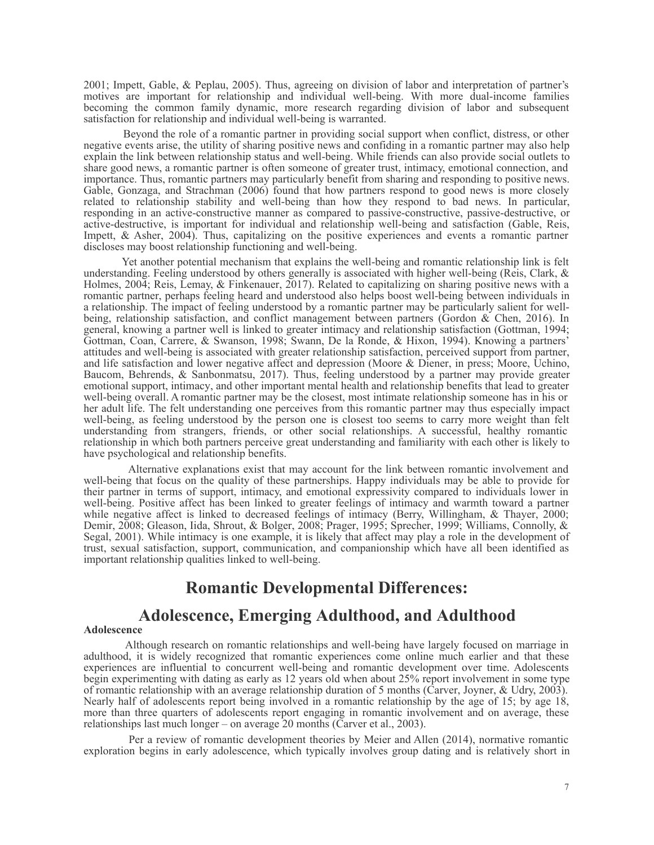2001; Impett, Gable, & Peplau, 2005). Thus, agreeing on division of labor and interpretation of partner's motives are important for relationship and individual well-being. With more dual-income families becoming the common family dynamic, more research regarding division of labor and subsequent satisfaction for relationship and individual well-being is warranted.

Beyond the role of a romantic partner in providing social support when conflict, distress, or other negative events arise, the utility of sharing positive news and confiding in a romantic partner may also help explain the link between relationship status and well-being. While friends can also provide social outlets to share good news, a romantic partner is often someone of greater trust, intimacy, emotional connection, and importance. Thus, romantic partners may particularly benefit from sharing and responding to positive news. Gable, Gonzaga, and Strachman (2006) found that how partners respond to good news is more closely related to relationship stability and well-being than how they respond to bad news. In particular, responding in an active-constructive manner as compared to passive-constructive, passive-destructive, or active-destructive, is important for individual and relationship well-being and satisfaction (Gable, Reis, Impett, & Asher, 2004). Thus, capitalizing on the positive experiences and events a romantic partner discloses may boost relationship functioning and well-being.

Yet another potential mechanism that explains the well-being and romantic relationship link is felt understanding. Feeling understood by others generally is associated with higher well-being (Reis, Clark, & Holmes, 2004; Reis, Lemay, & Finkenauer, 2017). Related to capitalizing on sharing positive news with a romantic partner, perhaps feeling heard and understood also helps boost well-being between individuals in a relationship. The impact of feeling understood by a romantic partner may be particularly salient for wellbeing, relationship satisfaction, and conflict management between partners (Gordon & Chen, 2016). In general, knowing a partner well is linked to greater intimacy and relationship satisfaction (Gottman, 1994; Gottman, Coan, Carrere, & Swanson, 1998; Swann, De la Ronde, & Hixon, 1994). Knowing a partners' attitudes and well-being is associated with greater relationship satisfaction, perceived support from partner, and life satisfaction and lower negative affect and depression (Moore & Diener, in press; Moore, Uchino, Baucom, Behrends, & Sanbonmatsu, 2017). Thus, feeling understood by a partner may provide greater emotional support, intimacy, and other important mental health and relationship benefits that lead to greater well-being overall. A romantic partner may be the closest, most intimate relationship someone has in his or her adult life. The felt understanding one perceives from this romantic partner may thus especially impact well-being, as feeling understood by the person one is closest too seems to carry more weight than felt understanding from strangers, friends, or other social relationships. A successful, healthy romantic relationship in which both partners perceive great understanding and familiarity with each other is likely to have psychological and relationship benefits.

Alternative explanations exist that may account for the link between romantic involvement and well-being that focus on the quality of these partnerships. Happy individuals may be able to provide for their partner in terms of support, intimacy, and emotional expressivity compared to individuals lower in well-being. Positive affect has been linked to greater feelings of intimacy and warmth toward a partner while negative affect is linked to decreased feelings of intimacy (Berry, Willingham, & Thayer, 2000; Demir, 2008; Gleason, Iida, Shrout, & Bolger, 2008; Prager, 1995; Sprecher, 1999; Williams, Connolly, & Segal, 2001). While intimacy is one example, it is likely that affect may play a role in the development of trust, sexual satisfaction, support, communication, and companionship which have all been identified as important relationship qualities linked to well-being.

# **Romantic Developmental Differences:**

### **Adolescence, Emerging Adulthood, and Adulthood**

#### **Adolescence**

Although research on romantic relationships and well-being have largely focused on marriage in adulthood, it is widely recognized that romantic experiences come online much earlier and that these experiences are influential to concurrent well-being and romantic development over time. Adolescents begin experimenting with dating as early as 12 years old when about 25% report involvement in some type of romantic relationship with an average relationship duration of 5 months (Carver, Joyner, & Udry, 2003). Nearly half of adolescents report being involved in a romantic relationship by the age of 15; by age 18, more than three quarters of adolescents report engaging in romantic involvement and on average, these relationships last much longer – on average 20 months (Carver et al., 2003).

Per a review of romantic development theories by Meier and Allen (2014), normative romantic exploration begins in early adolescence, which typically involves group dating and is relatively short in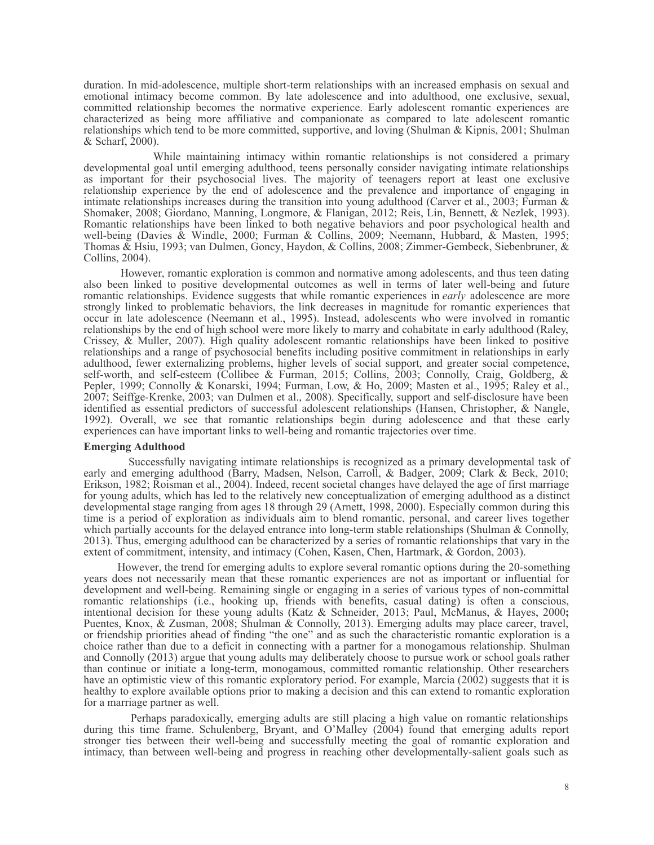duration. In mid-adolescence, multiple short-term relationships with an increased emphasis on sexual and emotional intimacy become common. By late adolescence and into adulthood, one exclusive, sexual, committed relationship becomes the normative experience. Early adolescent romantic experiences are characterized as being more affiliative and companionate as compared to late adolescent romantic relationships which tend to be more committed, supportive, and loving (Shulman & Kipnis, 2001; Shulman & Scharf, 2000).

While maintaining intimacy within romantic relationships is not considered a primary developmental goal until emerging adulthood, teens personally consider navigating intimate relationships as important for their psychosocial lives. The majority of teenagers report at least one exclusive relationship experience by the end of adolescence and the prevalence and importance of engaging in intimate relationships increases during the transition into young adulthood (Carver et al., 2003; Furman & Shomaker, 2008; Giordano, Manning, Longmore, & Flanigan, 2012; Reis, Lin, Bennett, & Nezlek, 1993). Romantic relationships have been linked to both negative behaviors and poor psychological health and well-being (Davies & Windle, 2000; Furman & Collins, 2009; Neemann, Hubbard, & Masten, 1995; Thomas & Hsiu, 1993; van Dulmen, Goncy, Haydon, & Collins, 2008; Zimmer-Gembeck, Siebenbruner, & Collins, 2004).

However, romantic exploration is common and normative among adolescents, and thus teen dating also been linked to positive developmental outcomes as well in terms of later well-being and future romantic relationships. Evidence suggests that while romantic experiences in *early* adolescence are more strongly linked to problematic behaviors, the link decreases in magnitude for romantic experiences that occur in late adolescence (Neemann et al., 1995). Instead, adolescents who were involved in romantic relationships by the end of high school were more likely to marry and cohabitate in early adulthood (Raley, Crissey, & Muller, 2007). High quality adolescent romantic relationships have been linked to positive relationships and a range of psychosocial benefits including positive commitment in relationships in early adulthood, fewer externalizing problems, higher levels of social support, and greater social competence, self-worth, and self-esteem (Collibee & Furman, 2015; Collins, 2003; Connolly, Craig, Goldberg, & Pepler, 1999; Connolly & Konarski, 1994; Furman, Low, & Ho, 2009; Masten et al., 1995; Raley et al., 2007; Seiffge-Krenke, 2003; van Dulmen et al., 2008). Specifically, support and self-disclosure have been identified as essential predictors of successful adolescent relationships (Hansen, Christopher, & Nangle, 1992). Overall, we see that romantic relationships begin during adolescence and that these early experiences can have important links to well-being and romantic trajectories over time.

#### **Emerging Adulthood**

Successfully navigating intimate relationships is recognized as a primary developmental task of early and emerging adulthood (Barry, Madsen, Nelson, Carroll, & Badger, 2009; Clark & Beck, 2010; Erikson, 1982; Roisman et al., 2004). Indeed, recent societal changes have delayed the age of first marriage for young adults, which has led to the relatively new conceptualization of emerging adulthood as a distinct developmental stage ranging from ages 18 through 29 (Arnett, 1998, 2000). Especially common during this time is a period of exploration as individuals aim to blend romantic, personal, and career lives together which partially accounts for the delayed entrance into long-term stable relationships (Shulman & Connolly, 2013). Thus, emerging adulthood can be characterized by a series of romantic relationships that vary in the extent of commitment, intensity, and intimacy (Cohen, Kasen, Chen, Hartmark, & Gordon, 2003).

However, the trend for emerging adults to explore several romantic options during the 20-something years does not necessarily mean that these romantic experiences are not as important or influential for development and well-being. Remaining single or engaging in a series of various types of non-committal romantic relationships (i.e., hooking up, friends with benefits, casual dating) is often a conscious, intentional decision for these young adults (Katz & Schneider, 2013; Paul, McManus, & Hayes, 2000**;** Puentes, Knox, & Zusman, 2008; Shulman & Connolly, 2013). Emerging adults may place career, travel, or friendship priorities ahead of finding "the one" and as such the characteristic romantic exploration is a choice rather than due to a deficit in connecting with a partner for a monogamous relationship. Shulman and Connolly (2013) argue that young adults may deliberately choose to pursue work or school goals rather than continue or initiate a long-term, monogamous, committed romantic relationship. Other researchers have an optimistic view of this romantic exploratory period. For example, Marcia (2002) suggests that it is healthy to explore available options prior to making a decision and this can extend to romantic exploration for a marriage partner as well.

Perhaps paradoxically, emerging adults are still placing a high value on romantic relationships during this time frame. Schulenberg, Bryant, and O'Malley (2004) found that emerging adults report stronger ties between their well-being and successfully meeting the goal of romantic exploration and intimacy, than between well-being and progress in reaching other developmentally-salient goals such as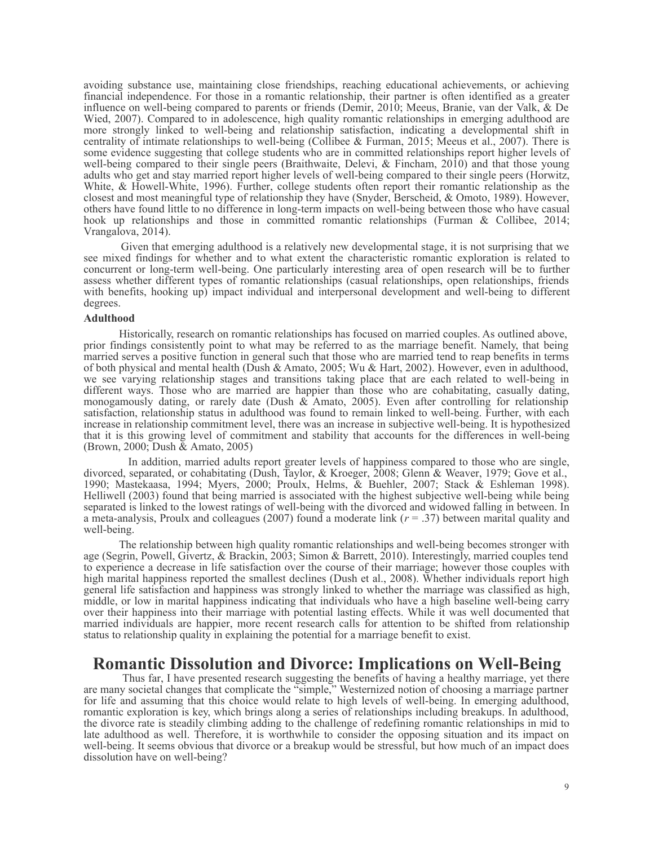avoiding substance use, maintaining close friendships, reaching educational achievements, or achieving financial independence. For those in a romantic relationship, their partner is often identified as a greater influence on well-being compared to parents or friends (Demir, 2010; Meeus, Branie, van der Valk, & De Wied, 2007). Compared to in adolescence, high quality romantic relationships in emerging adulthood are more strongly linked to well-being and relationship satisfaction, indicating a developmental shift in centrality of intimate relationships to well-being (Collibee & Furman, 2015; Meeus et al., 2007). There is some evidence suggesting that college students who are in committed relationships report higher levels of well-being compared to their single peers (Braithwaite, Delevi, & Fincham, 2010) and that those young adults who get and stay married report higher levels of well-being compared to their single peers (Horwitz, White, & Howell-White, 1996). Further, college students often report their romantic relationship as the closest and most meaningful type of relationship they have (Snyder, Berscheid, & Omoto, 1989). However, others have found little to no difference in long-term impacts on well-being between those who have casual hook up relationships and those in committed romantic relationships (Furman & Collibee, 2014; Vrangalova, 2014).

Given that emerging adulthood is a relatively new developmental stage, it is not surprising that we see mixed findings for whether and to what extent the characteristic romantic exploration is related to concurrent or long-term well-being. One particularly interesting area of open research will be to further assess whether different types of romantic relationships (casual relationships, open relationships, friends with benefits, hooking up) impact individual and interpersonal development and well-being to different degrees.

#### **Adulthood**

Historically, research on romantic relationships has focused on married couples. As outlined above, prior findings consistently point to what may be referred to as the marriage benefit. Namely, that being married serves a positive function in general such that those who are married tend to reap benefits in terms of both physical and mental health (Dush & Amato, 2005; Wu & Hart, 2002). However, even in adulthood, we see varying relationship stages and transitions taking place that are each related to well-being in different ways. Those who are married are happier than those who are cohabitating, casually dating, monogamously dating, or rarely date (Dush & Amato, 2005). Even after controlling for relationship satisfaction, relationship status in adulthood was found to remain linked to well-being. Further, with each increase in relationship commitment level, there was an increase in subjective well-being. It is hypothesized that it is this growing level of commitment and stability that accounts for the differences in well-being (Brown, 2000; Dush & Amato, 2005)

In addition, married adults report greater levels of happiness compared to those who are single, divorced, separated, or cohabitating (Dush, Taylor, & Kroeger, 2008; Glenn & Weaver, 1979; Gove et al., 1990; Mastekaasa, 1994; Myers, 2000; Proulx, Helms, & Buehler, 2007; Stack & Eshleman 1998). Helliwell (2003) found that being married is associated with the highest subjective well-being while being separated is linked to the lowest ratings of well-being with the divorced and widowed falling in between. In a meta-analysis, Proulx and colleagues (2007) found a moderate link (*r* = .37) between marital quality and well-being.

The relationship between high quality romantic relationships and well-being becomes stronger with age (Segrin, Powell, Givertz, & Brackin, 2003; Simon & Barrett, 2010). Interestingly, married couples tend to experience a decrease in life satisfaction over the course of their marriage; however those couples with high marital happiness reported the smallest declines (Dush et al., 2008). Whether individuals report high general life satisfaction and happiness was strongly linked to whether the marriage was classified as high, middle, or low in marital happiness indicating that individuals who have a high baseline well-being carry over their happiness into their marriage with potential lasting effects. While it was well documented that married individuals are happier, more recent research calls for attention to be shifted from relationship status to relationship quality in explaining the potential for a marriage benefit to exist.

### **Romantic Dissolution and Divorce: Implications on Well-Being**

Thus far, I have presented research suggesting the benefits of having a healthy marriage, yet there are many societal changes that complicate the "simple," Westernized notion of choosing a marriage partner for life and assuming that this choice would relate to high levels of well-being. In emerging adulthood, romantic exploration is key, which brings along a series of relationships including breakups. In adulthood, the divorce rate is steadily climbing adding to the challenge of redefining romantic relationships in mid to late adulthood as well. Therefore, it is worthwhile to consider the opposing situation and its impact on well-being. It seems obvious that divorce or a breakup would be stressful, but how much of an impact does dissolution have on well-being?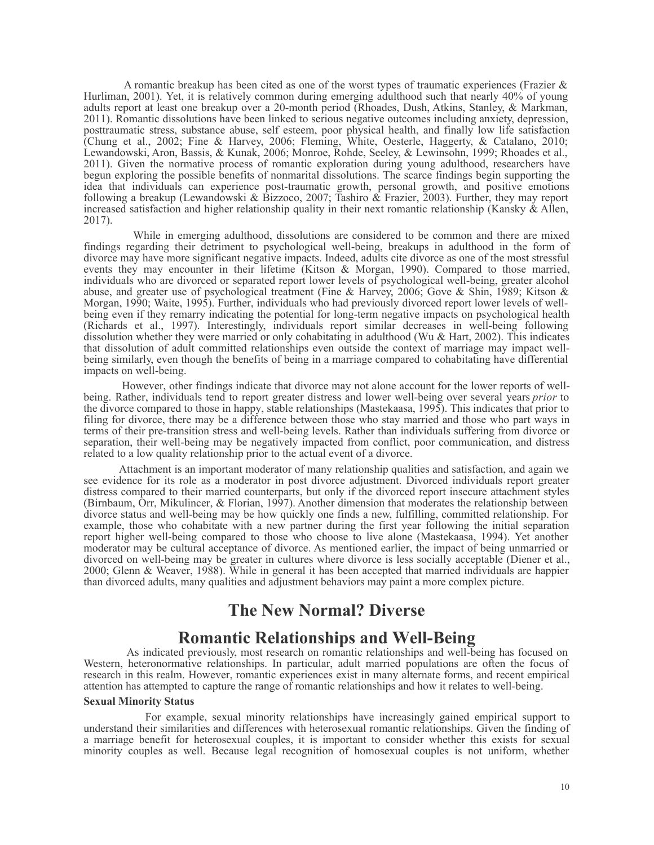A romantic breakup has been cited as one of the worst types of traumatic experiences (Frazier  $\&$ Hurliman, 2001). Yet, it is relatively common during emerging adulthood such that nearly 40% of young adults report at least one breakup over a 20-month period (Rhoades, Dush, Atkins, Stanley, & Markman, 2011). Romantic dissolutions have been linked to serious negative outcomes including anxiety, depression, posttraumatic stress, substance abuse, self esteem, poor physical health, and finally low life satisfaction (Chung et al., 2002; Fine & Harvey, 2006; Fleming, White, Oesterle, Haggerty, & Catalano, 2010; Lewandowski, Aron, Bassis, & Kunak, 2006; Monroe, Rohde, Seeley, & Lewinsohn, 1999; Rhoades et al., 2011). Given the normative process of romantic exploration during young adulthood, researchers have begun exploring the possible benefits of nonmarital dissolutions. The scarce findings begin supporting the idea that individuals can experience post-traumatic growth, personal growth, and positive emotions following a breakup (Lewandowski & Bizzoco, 2007; Tashiro & Frazier, 2003). Further, they may report increased satisfaction and higher relationship quality in their next romantic relationship (Kansky & Allen, 2017).

While in emerging adulthood, dissolutions are considered to be common and there are mixed findings regarding their detriment to psychological well-being, breakups in adulthood in the form of divorce may have more significant negative impacts. Indeed, adults cite divorce as one of the most stressful events they may encounter in their lifetime (Kitson & Morgan, 1990). Compared to those married, individuals who are divorced or separated report lower levels of psychological well-being, greater alcohol abuse, and greater use of psychological treatment (Fine & Harvey, 2006; Gove & Shin, 1989; Kitson & Morgan, 1990; Waite, 1995). Further, individuals who had previously divorced report lower levels of wellbeing even if they remarry indicating the potential for long-term negative impacts on psychological health (Richards et al., 1997). Interestingly, individuals report similar decreases in well-being following dissolution whether they were married or only cohabitating in adulthood (Wu & Hart, 2002). This indicates that dissolution of adult committed relationships even outside the context of marriage may impact wellbeing similarly, even though the benefits of being in a marriage compared to cohabitating have differential impacts on well-being.

However, other findings indicate that divorce may not alone account for the lower reports of wellbeing. Rather, individuals tend to report greater distress and lower well-being over several years *prior* to the divorce compared to those in happy, stable relationships (Mastekaasa, 1995). This indicates that prior to filing for divorce, there may be a difference between those who stay married and those who part ways in terms of their pre-transition stress and well-being levels. Rather than individuals suffering from divorce or separation, their well-being may be negatively impacted from conflict, poor communication, and distress related to a low quality relationship prior to the actual event of a divorce.

Attachment is an important moderator of many relationship qualities and satisfaction, and again we see evidence for its role as a moderator in post divorce adjustment. Divorced individuals report greater distress compared to their married counterparts, but only if the divorced report insecure attachment styles (Birnbaum, Orr, Mikulincer, & Florian, 1997). Another dimension that moderates the relationship between divorce status and well-being may be how quickly one finds a new, fulfilling, committed relationship. For example, those who cohabitate with a new partner during the first year following the initial separation report higher well-being compared to those who choose to live alone (Mastekaasa, 1994). Yet another moderator may be cultural acceptance of divorce. As mentioned earlier, the impact of being unmarried or divorced on well-being may be greater in cultures where divorce is less socially acceptable (Diener et al., 2000; Glenn & Weaver, 1988). While in general it has been accepted that married individuals are happier than divorced adults, many qualities and adjustment behaviors may paint a more complex picture.

### **The New Normal? Diverse**

### **Romantic Relationships and Well-Being**

As indicated previously, most research on romantic relationships and well-being has focused on Western, heteronormative relationships. In particular, adult married populations are often the focus of research in this realm. However, romantic experiences exist in many alternate forms, and recent empirical attention has attempted to capture the range of romantic relationships and how it relates to well-being.

#### **Sexual Minority Status**

For example, sexual minority relationships have increasingly gained empirical support to understand their similarities and differences with heterosexual romantic relationships. Given the finding of a marriage benefit for heterosexual couples, it is important to consider whether this exists for sexual minority couples as well. Because legal recognition of homosexual couples is not uniform, whether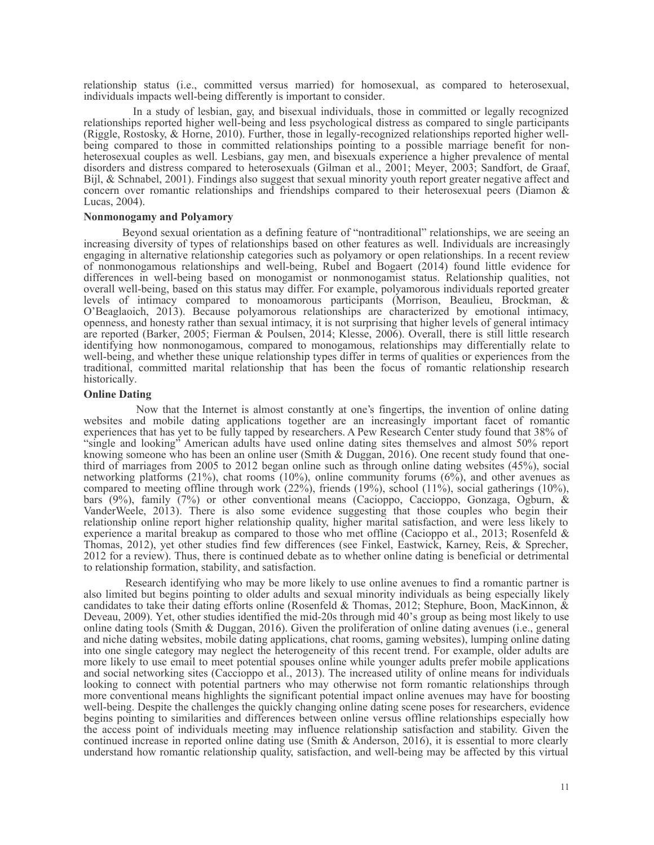relationship status (i.e., committed versus married) for homosexual, as compared to heterosexual, individuals impacts well-being differently is important to consider.

In a study of lesbian, gay, and bisexual individuals, those in committed or legally recognized relationships reported higher well-being and less psychological distress as compared to single participants (Riggle, Rostosky, & Horne, 2010). Further, those in legally-recognized relationships reported higher wellbeing compared to those in committed relationships pointing to a possible marriage benefit for nonheterosexual couples as well. Lesbians, gay men, and bisexuals experience a higher prevalence of mental disorders and distress compared to heterosexuals (Gilman et al., 2001; Meyer, 2003; Sandfort, de Graaf, Bijl, & Schnabel, 2001). Findings also suggest that sexual minority youth report greater negative affect and concern over romantic relationships and friendships compared to their heterosexual peers (Diamon & Lucas, 2004).

### **Nonmonogamy and Polyamory**

Beyond sexual orientation as a defining feature of "nontraditional" relationships, we are seeing an increasing diversity of types of relationships based on other features as well. Individuals are increasingly engaging in alternative relationship categories such as polyamory or open relationships. In a recent review of nonmonogamous relationships and well-being, Rubel and Bogaert (2014) found little evidence for differences in well-being based on monogamist or nonmonogamist status. Relationship qualities, not overall well-being, based on this status may differ. For example, polyamorous individuals reported greater levels of intimacy compared to monoamorous participants (Morrison, Beaulieu, Brockman, & O'Beaglaoich, 2013). Because polyamorous relationships are characterized by emotional intimacy, openness, and honesty rather than sexual intimacy, it is not surprising that higher levels of general intimacy are reported (Barker, 2005; Fierman & Poulsen, 2014; Klesse, 2006). Overall, there is still little research identifying how nonmonogamous, compared to monogamous, relationships may differentially relate to well-being, and whether these unique relationship types differ in terms of qualities or experiences from the traditional, committed marital relationship that has been the focus of romantic relationship research historically.

#### **Online Dating**

Now that the Internet is almost constantly at one's fingertips, the invention of online dating websites and mobile dating applications together are an increasingly important facet of romantic experiences that has yet to be fully tapped by researchers. A Pew Research Center study found that 38% of "single and looking" American adults have used online dating sites themselves and almost 50% report knowing someone who has been an online user (Smith & Duggan, 2016). One recent study found that onethird of marriages from 2005 to 2012 began online such as through online dating websites (45%), social networking platforms (21%), chat rooms (10%), online community forums (6%), and other avenues as compared to meeting offline through work (22%), friends (19%), school (11%), social gatherings (10%), bars (9%), family (7%) or other conventional means (Cacioppo, Caccioppo, Gonzaga, Ogburn, & VanderWeele, 2013). There is also some evidence suggesting that those couples who begin their relationship online report higher relationship quality, higher marital satisfaction, and were less likely to experience a marital breakup as compared to those who met offline (Cacioppo et al., 2013; Rosenfeld & Thomas, 2012), yet other studies find few differences (see Finkel, Eastwick, Karney, Reis, & Sprecher, 2012 for a review). Thus, there is continued debate as to whether online dating is beneficial or detrimental to relationship formation, stability, and satisfaction.

Research identifying who may be more likely to use online avenues to find a romantic partner is also limited but begins pointing to older adults and sexual minority individuals as being especially likely candidates to take their dating efforts online (Rosenfeld & Thomas, 2012; Stephure, Boon, MacKinnon, & Deveau, 2009). Yet, other studies identified the mid-20s through mid 40's group as being most likely to use online dating tools (Smith & Duggan, 2016). Given the proliferation of online dating avenues (i.e., general and niche dating websites, mobile dating applications, chat rooms, gaming websites), lumping online dating into one single category may neglect the heterogeneity of this recent trend. For example, older adults are more likely to use email to meet potential spouses online while younger adults prefer mobile applications and social networking sites (Caccioppo et al., 2013). The increased utility of online means for individuals looking to connect with potential partners who may otherwise not form romantic relationships through more conventional means highlights the significant potential impact online avenues may have for boosting well-being. Despite the challenges the quickly changing online dating scene poses for researchers, evidence begins pointing to similarities and differences between online versus offline relationships especially how the access point of individuals meeting may influence relationship satisfaction and stability. Given the continued increase in reported online dating use (Smith & Anderson, 2016), it is essential to more clearly understand how romantic relationship quality, satisfaction, and well-being may be affected by this virtual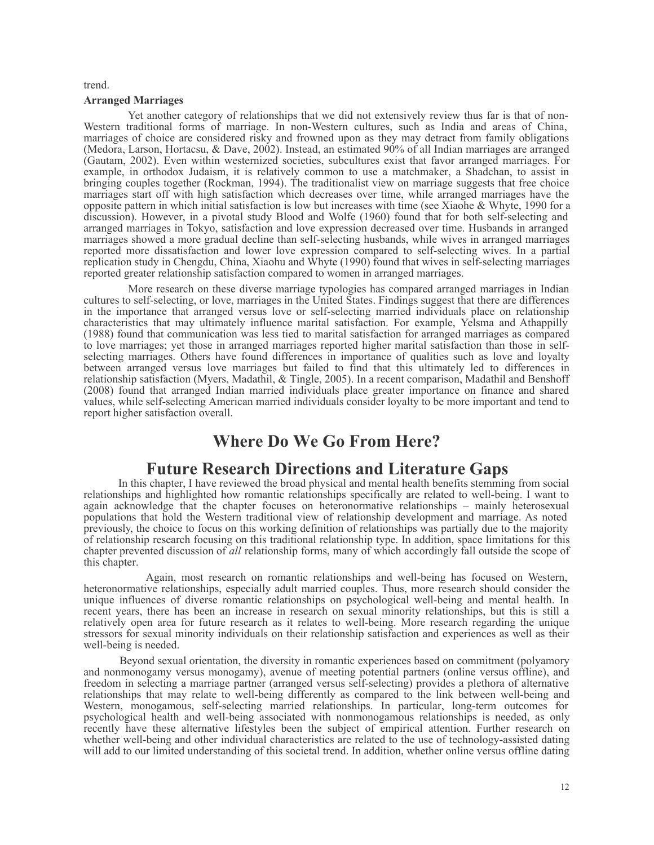#### trend.

#### **Arranged Marriages**

Yet another category of relationships that we did not extensively review thus far is that of non-Western traditional forms of marriage. In non-Western cultures, such as India and areas of China, marriages of choice are considered risky and frowned upon as they may detract from family obligations (Medora, Larson, Hortacsu, & Dave, 2002). Instead, an estimated 90% of all Indian marriages are arranged (Gautam, 2002). Even within westernized societies, subcultures exist that favor arranged marriages. For example, in orthodox Judaism, it is relatively common to use a matchmaker, a Shadchan, to assist in bringing couples together (Rockman, 1994). The traditionalist view on marriage suggests that free choice marriages start off with high satisfaction which decreases over time, while arranged marriages have the opposite pattern in which initial satisfaction is low but increases with time (see Xiaohe & Whyte, 1990 for a discussion). However, in a pivotal study Blood and Wolfe (1960) found that for both self-selecting and arranged marriages in Tokyo, satisfaction and love expression decreased over time. Husbands in arranged marriages showed a more gradual decline than self-selecting husbands, while wives in arranged marriages reported more dissatisfaction and lower love expression compared to self-selecting wives. In a partial replication study in Chengdu, China, Xiaohu and Whyte (1990) found that wives in self-selecting marriages reported greater relationship satisfaction compared to women in arranged marriages.

More research on these diverse marriage typologies has compared arranged marriages in Indian cultures to self-selecting, or love, marriages in the United States. Findings suggest that there are differences in the importance that arranged versus love or self-selecting married individuals place on relationship characteristics that may ultimately influence marital satisfaction. For example, Yelsma and Athappilly (1988) found that communication was less tied to marital satisfaction for arranged marriages as compared to love marriages; yet those in arranged marriages reported higher marital satisfaction than those in selfselecting marriages. Others have found differences in importance of qualities such as love and loyalty between arranged versus love marriages but failed to find that this ultimately led to differences in relationship satisfaction (Myers, Madathil, & Tingle, 2005). In a recent comparison, Madathil and Benshoff (2008) found that arranged Indian married individuals place greater importance on finance and shared values, while self-selecting American married individuals consider loyalty to be more important and tend to report higher satisfaction overall.

### **Where Do We Go From Here?**

### **Future Research Directions and Literature Gaps**

In this chapter, I have reviewed the broad physical and mental health benefits stemming from social relationships and highlighted how romantic relationships specifically are related to well-being. I want to again acknowledge that the chapter focuses on heteronormative relationships – mainly heterosexual populations that hold the Western traditional view of relationship development and marriage. As noted previously, the choice to focus on this working definition of relationships was partially due to the majority of relationship research focusing on this traditional relationship type. In addition, space limitations for this chapter prevented discussion of *all* relationship forms, many of which accordingly fall outside the scope of this chapter.

Again, most research on romantic relationships and well-being has focused on Western, heteronormative relationships, especially adult married couples. Thus, more research should consider the unique influences of diverse romantic relationships on psychological well-being and mental health. In recent years, there has been an increase in research on sexual minority relationships, but this is still a relatively open area for future research as it relates to well-being. More research regarding the unique stressors for sexual minority individuals on their relationship satisfaction and experiences as well as their well-being is needed.

Beyond sexual orientation, the diversity in romantic experiences based on commitment (polyamory and nonmonogamy versus monogamy), avenue of meeting potential partners (online versus offline), and freedom in selecting a marriage partner (arranged versus self-selecting) provides a plethora of alternative relationships that may relate to well-being differently as compared to the link between well-being and Western, monogamous, self-selecting married relationships. In particular, long-term outcomes for psychological health and well-being associated with nonmonogamous relationships is needed, as only recently have these alternative lifestyles been the subject of empirical attention. Further research on whether well-being and other individual characteristics are related to the use of technology-assisted dating will add to our limited understanding of this societal trend. In addition, whether online versus offline dating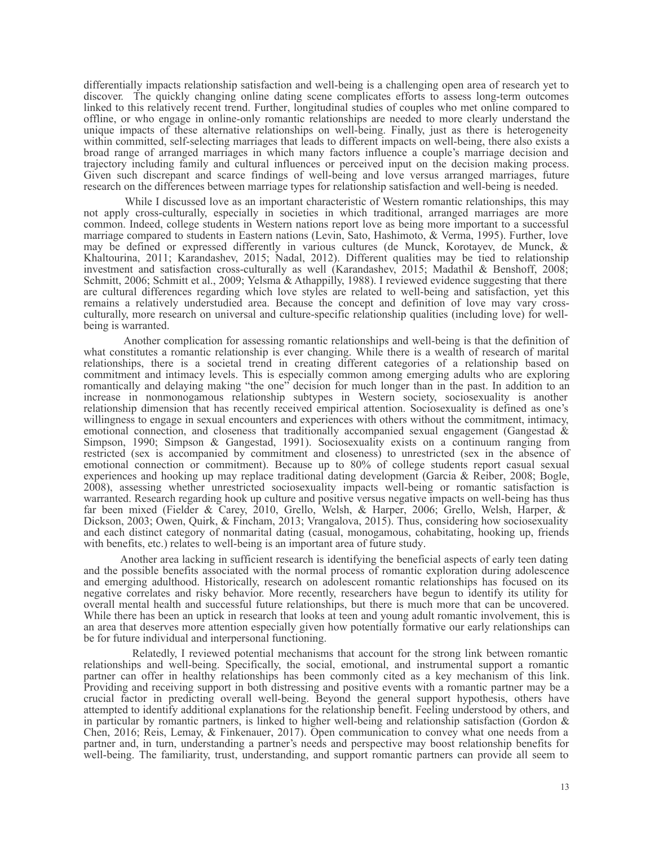differentially impacts relationship satisfaction and well-being is a challenging open area of research yet to discover. The quickly changing online dating scene complicates efforts to assess long-term outcomes linked to this relatively recent trend. Further, longitudinal studies of couples who met online compared to offline, or who engage in online-only romantic relationships are needed to more clearly understand the unique impacts of these alternative relationships on well-being. Finally, just as there is heterogeneity within committed, self-selecting marriages that leads to different impacts on well-being, there also exists a broad range of arranged marriages in which many factors influence a couple's marriage decision and trajectory including family and cultural influences or perceived input on the decision making process. Given such discrepant and scarce findings of well-being and love versus arranged marriages, future research on the differences between marriage types for relationship satisfaction and well-being is needed.

While I discussed love as an important characteristic of Western romantic relationships, this may not apply cross-culturally, especially in societies in which traditional, arranged marriages are more common. Indeed, college students in Western nations report love as being more important to a successful marriage compared to students in Eastern nations (Levin, Sato, Hashimoto, & Verma, 1995). Further, love may be defined or expressed differently in various cultures (de Munck, Korotayev, de Munck, & Khaltourina, 2011; Karandashev, 2015; Nadal, 2012). Different qualities may be tied to relationship investment and satisfaction cross-culturally as well (Karandashev, 2015; Madathil & Benshoff, 2008; Schmitt, 2006; Schmitt et al., 2009; Yelsma & Athappilly, 1988). I reviewed evidence suggesting that there are cultural differences regarding which love styles are related to well-being and satisfaction, yet this remains a relatively understudied area. Because the concept and definition of love may vary crossculturally, more research on universal and culture-specific relationship qualities (including love) for wellbeing is warranted.

Another complication for assessing romantic relationships and well-being is that the definition of what constitutes a romantic relationship is ever changing. While there is a wealth of research of marital relationships, there is a societal trend in creating different categories of a relationship based on commitment and intimacy levels. This is especially common among emerging adults who are exploring romantically and delaying making "the one" decision for much longer than in the past. In addition to an increase in nonmonogamous relationship subtypes in Western society, sociosexuality is another relationship dimension that has recently received empirical attention. Sociosexuality is defined as one's willingness to engage in sexual encounters and experiences with others without the commitment, intimacy, emotional connection, and closeness that traditionally accompanied sexual engagement (Gangestad & Simpson, 1990; Simpson & Gangestad, 1991). Sociosexuality exists on a continuum ranging from restricted (sex is accompanied by commitment and closeness) to unrestricted (sex in the absence of emotional connection or commitment). Because up to 80% of college students report casual sexual experiences and hooking up may replace traditional dating development (Garcia & Reiber, 2008; Bogle, 2008), assessing whether unrestricted sociosexuality impacts well-being or romantic satisfaction is warranted. Research regarding hook up culture and positive versus negative impacts on well-being has thus far been mixed (Fielder & Carey, 2010, Grello, Welsh, & Harper, 2006; Grello, Welsh, Harper, & Dickson, 2003; Owen, Quirk, & Fincham, 2013; Vrangalova, 2015). Thus, considering how sociosexuality and each distinct category of nonmarital dating (casual, monogamous, cohabitating, hooking up, friends with benefits, etc.) relates to well-being is an important area of future study.

Another area lacking in sufficient research is identifying the beneficial aspects of early teen dating and the possible benefits associated with the normal process of romantic exploration during adolescence and emerging adulthood. Historically, research on adolescent romantic relationships has focused on its negative correlates and risky behavior. More recently, researchers have begun to identify its utility for overall mental health and successful future relationships, but there is much more that can be uncovered. While there has been an uptick in research that looks at teen and young adult romantic involvement, this is an area that deserves more attention especially given how potentially formative our early relationships can be for future individual and interpersonal functioning.

Relatedly, I reviewed potential mechanisms that account for the strong link between romantic relationships and well-being. Specifically, the social, emotional, and instrumental support a romantic partner can offer in healthy relationships has been commonly cited as a key mechanism of this link. Providing and receiving support in both distressing and positive events with a romantic partner may be a crucial factor in predicting overall well-being. Beyond the general support hypothesis, others have attempted to identify additional explanations for the relationship benefit. Feeling understood by others, and in particular by romantic partners, is linked to higher well-being and relationship satisfaction (Gordon  $\&$ Chen, 2016; Reis, Lemay, & Finkenauer, 2017). Open communication to convey what one needs from a partner and, in turn, understanding a partner's needs and perspective may boost relationship benefits for well-being. The familiarity, trust, understanding, and support romantic partners can provide all seem to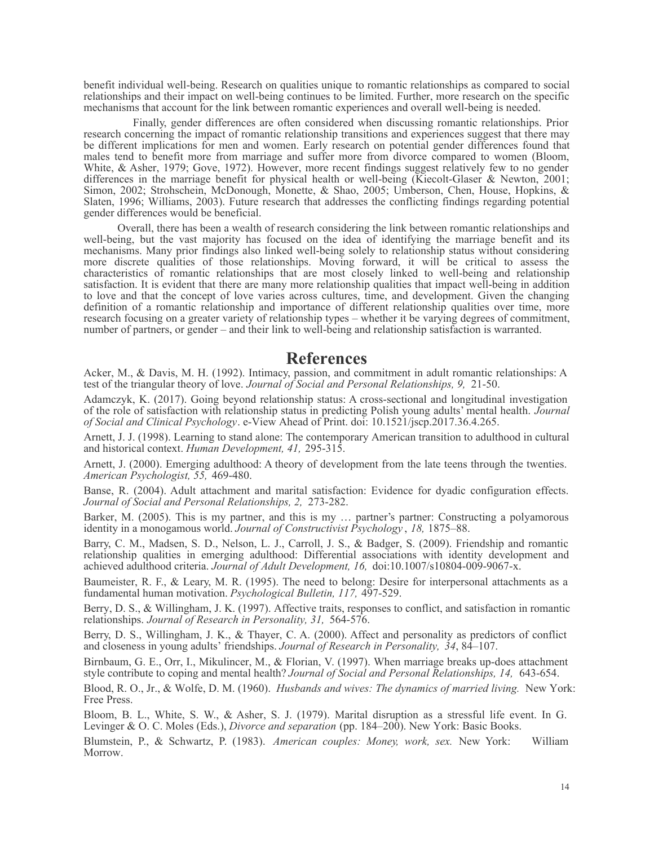benefit individual well-being. Research on qualities unique to romantic relationships as compared to social relationships and their impact on well-being continues to be limited. Further, more research on the specific mechanisms that account for the link between romantic experiences and overall well-being is needed.

Finally, gender differences are often considered when discussing romantic relationships. Prior research concerning the impact of romantic relationship transitions and experiences suggest that there may be different implications for men and women. Early research on potential gender differences found that males tend to benefit more from marriage and suffer more from divorce compared to women (Bloom, White, & Asher, 1979; Gove, 1972). However, more recent findings suggest relatively few to no gender differences in the marriage benefit for physical health or well-being (Kiecolt-Glaser & Newton, 2001; Simon, 2002; Strohschein, McDonough, Monette, & Shao, 2005; Umberson, Chen, House, Hopkins, & Slaten, 1996; Williams, 2003). Future research that addresses the conflicting findings regarding potential gender differences would be beneficial.

Overall, there has been a wealth of research considering the link between romantic relationships and well-being, but the vast majority has focused on the idea of identifying the marriage benefit and its mechanisms. Many prior findings also linked well-being solely to relationship status without considering more discrete qualities of those relationships. Moving forward, it will be critical to assess the characteristics of romantic relationships that are most closely linked to well-being and relationship satisfaction. It is evident that there are many more relationship qualities that impact well-being in addition to love and that the concept of love varies across cultures, time, and development. Given the changing definition of a romantic relationship and importance of different relationship qualities over time, more research focusing on a greater variety of relationship types – whether it be varying degrees of commitment, number of partners, or gender – and their link to well-being and relationship satisfaction is warranted.

### **References**

Acker, M., & Davis, M. H. (1992). Intimacy, passion, and commitment in adult romantic relationships: A test of the triangular theory of love. *Journal of Social and Personal Relationships, 9,* 21-50.

Adamczyk, K. (2017). Going beyond relationship status: A cross-sectional and longitudinal investigation of the role of satisfaction with relationship status in predicting Polish young adults' mental health. *Journal of Social and Clinical Psychology*. e-View Ahead of Print. doi: 10.1521/jscp.2017.36.4.265.

Arnett, J. J. (1998). Learning to stand alone: The contemporary American transition to adulthood in cultural and historical context. *Human Development, 41,* 295-315.

Arnett, J. (2000). Emerging adulthood: A theory of development from the late teens through the twenties. *American Psychologist, 55,* 469-480.

Banse, R. (2004). Adult attachment and marital satisfaction: Evidence for dyadic configuration effects. *Journal of Social and Personal Relationships, 2,* 273-282.

Barker, M. (2005). This is my partner, and this is my … partner's partner: Constructing a polyamorous identity in a monogamous world. *Journal of Constructivist Psychology* , *18,* 1875–88.

Barry, C. M., Madsen, S. D., Nelson, L. J., Carroll, J. S., & Badger, S. (2009). Friendship and romantic relationship qualities in emerging adulthood: Differential associations with identity development and achieved adulthood criteria. *Journal of Adult Development, 16,* doi:10.1007/s10804-009-9067-x.

Baumeister, R. F., & Leary, M. R. (1995). The need to belong: Desire for interpersonal attachments as a fundamental human motivation. *Psychological Bulletin, 117,* 497-529.

Berry, D. S., & Willingham, J. K. (1997). Affective traits, responses to conflict, and satisfaction in romantic relationships. *Journal of Research in Personality, 31,* 564-576.

Berry, D. S., Willingham, J. K., & Thayer, C. A. (2000). Affect and personality as predictors of conflict and closeness in young adults' friendships. *Journal of Research in Personality, 34*, 84–107.

Birnbaum, G. E., Orr, I., Mikulincer, M., & Florian, V. (1997). When marriage breaks up-does attachment style contribute to coping and mental health? *Journal of Social and Personal Relationships, 14,* 643-654.

Blood, R. O., Jr., & Wolfe, D. M. (1960). *Husbands and wives: The dynamics of married living.* New York: Free Press.

Bloom, B. L., White, S. W., & Asher, S. J. (1979). Marital disruption as a stressful life event. In G. Levinger & O. C. Moles (Eds.), *Divorce and separation* (pp. 184–200). New York: Basic Books.

Blumstein, P., & Schwartz, P. (1983). *American couples: Money, work, sex.* New York: William Morrow.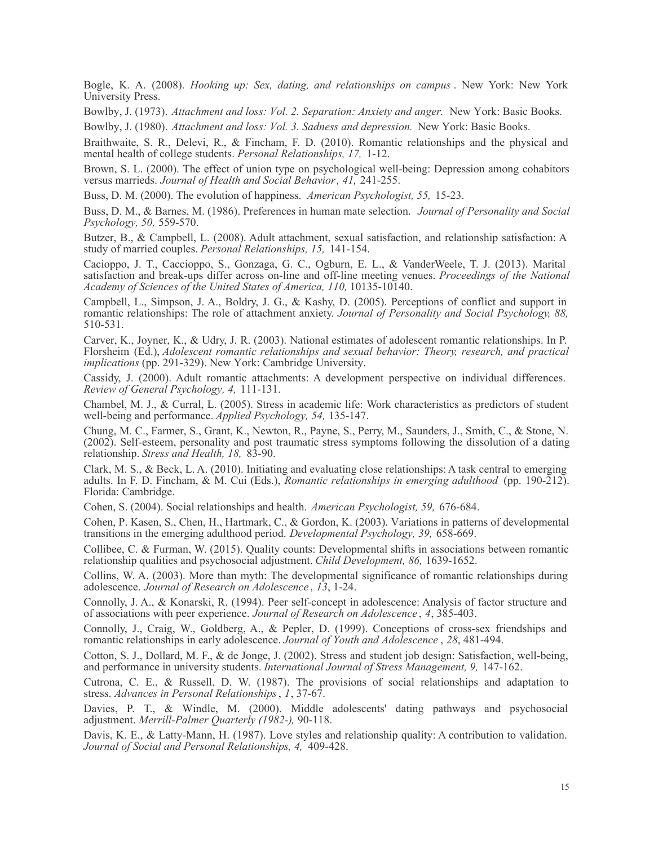Bogle, K. A. (2008). *Hooking up: Sex, dating, and relationships on campus* . New York: New York University Press.

Bowlby, J. (1973). *Attachment and loss: Vol. 2. Separation: Anxiety and anger.* New York: Basic Books.

Bowlby, J. (1980). *Attachment and loss: Vol. 3. Sadness and depression.* New York: Basic Books.

Braithwaite, S. R., Delevi, R., & Fincham, F. D. (2010). Romantic relationships and the physical and mental health of college students. *Personal Relationships, 17,* 1-12.

Brown, S. L. (2000). The effect of union type on psychological well-being: Depression among cohabitors versus marrieds. *Journal of Health and Social Behavior, 41,* 241-255.

Buss, D. M. (2000). The evolution of happiness. *American Psychologist, 55,* 15-23.

Buss, D. M., & Barnes, M. (1986). Preferences in human mate selection. *Journal of Personality and Social Psychology, 50,* 559-570.

Butzer, B., & Campbell, L. (2008). Adult attachment, sexual satisfaction, and relationship satisfaction: A study of married couples. *Personal Relationships, 15,* 141-154.

Cacioppo, J. T., Caccioppo, S., Gonzaga, G. C., Ogburn, E. L., & VanderWeele, T. J. (2013). Marital satisfaction and break-ups differ across on-line and off-line meeting venues. *Proceedings of the National Academy of Sciences of the United States of America, 110,* 10135-10140.

Campbell, L., Simpson, J. A., Boldry, J. G., & Kashy, D. (2005). Perceptions of conflict and support in romantic relationships: The role of attachment anxiety. *Journal of Personality and Social Psychology, 88,* 510-531.

Carver, K., Joyner, K., & Udry, J. R. (2003). National estimates of adolescent romantic relationships. In P. Florsheim (Ed.), *Adolescent romantic relationships and sexual behavior: Theory, research, and practical implications* (pp. 291-329). New York: Cambridge University.

Cassidy, J. (2000). Adult romantic attachments: A development perspective on individual differences. *Review of General Psychology, 4,* 111-131.

Chambel, M. J., & Curral, L. (2005). Stress in academic life: Work characteristics as predictors of student well-being and performance. *Applied Psychology, 54,* 135-147.

Chung, M. C., Farmer, S., Grant, K., Newton, R., Payne, S., Perry, M., Saunders, J., Smith, C., & Stone, N. (2002). Self-esteem, personality and post traumatic stress symptoms following the dissolution of a dating relationship. *Stress and Health, 18,* 83-90.

Clark, M. S., & Beck, L. A. (2010). Initiating and evaluating close relationships: A task central to emerging adults. In F. D. Fincham, & M. Cui (Eds.), *Romantic relationships in emerging adulthood* (pp. 190-212). Florida: Cambridge.

Cohen, S. (2004). Social relationships and health. *American Psychologist, 59,* 676-684.

Cohen, P. Kasen, S., Chen, H., Hartmark, C., & Gordon, K. (2003). Variations in patterns of developmental transitions in the emerging adulthood period. *Developmental Psychology, 39,* 658-669.

Collibee, C. & Furman, W. (2015). Quality counts: Developmental shifts in associations between romantic relationship qualities and psychosocial adjustment. *Child Development, 86,* 1639-1652.

Collins, W. A. (2003). More than myth: The developmental significance of romantic relationships during adolescence. *Journal of Research on Adolescence* , *13*, 1-24.

Connolly, J. A., & Konarski, R. (1994). Peer self-concept in adolescence: Analysis of factor structure and of associations with peer experience. *Journal of Research on Adolescence* , *4*, 385-403.

Connolly, J., Craig, W., Goldberg, A., & Pepler, D. (1999). Conceptions of cross-sex friendships and romantic relationships in early adolescence. *Journal of Youth and Adolescence* , *28*, 481-494.

Cotton, S. J., Dollard, M. F., & de Jonge, J. (2002). Stress and student job design: Satisfaction, well-being, and performance in university students. *International Journal of Stress Management, 9,* 147-162.

Cutrona, C. E., & Russell, D. W. (1987). The provisions of social relationships and adaptation to stress. *Advances in Personal Relationships*, *1*, 37-67.

Davies, P. T., & Windle, M. (2000). Middle adolescents' dating pathways and psychosocial adjustment. *Merrill-Palmer Quarterly (1982-),* 90-118.

Davis, K. E., & Latty-Mann, H. (1987). Love styles and relationship quality: A contribution to validation. *Journal of Social and Personal Relationships, 4,* 409-428.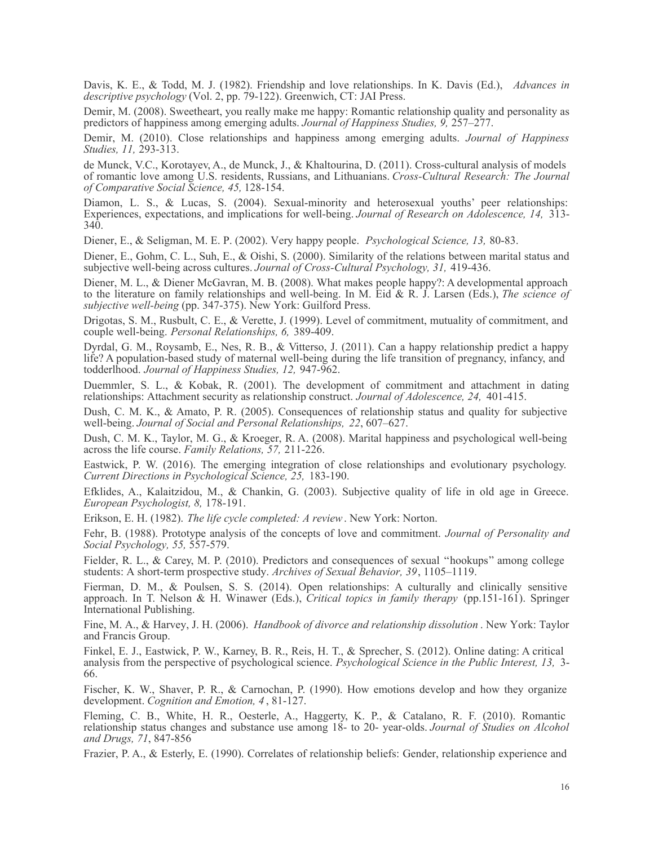Davis, K. E., & Todd, M. J. (1982). Friendship and love relationships. In K. Davis (Ed.), *Advances in descriptive psychology* (Vol. 2, pp. 79-122). Greenwich, CT: JAI Press.

Demir, M. (2008). Sweetheart, you really make me happy: Romantic relationship quality and personality as predictors of happiness among emerging adults. *Journal of Happiness Studies, 9,* 257–277.

Demir, M. (2010). Close relationships and happiness among emerging adults. *Journal of Happiness Studies, 11,* 293-313.

de Munck, V.C., Korotayev, A., de Munck, J., & Khaltourina, D. (2011). Cross-cultural analysis of models of romantic love among U.S. residents, Russians, and Lithuanians. *Cross-Cultural Research: The Journal of Comparative Social Science, 45,* 128-154.

Diamon, L. S., & Lucas, S. (2004). Sexual-minority and heterosexual youths' peer relationships: Experiences, expectations, and implications for well-being. *Journal of Research on Adolescence, 14,* 313- 340.

Diener, E., & Seligman, M. E. P. (2002). Very happy people. *Psychological Science, 13,* 80-83.

Diener, E., Gohm, C. L., Suh, E., & Oishi, S. (2000). Similarity of the relations between marital status and subjective well-being across cultures. *Journal of Cross-Cultural Psychology, 31,* 419-436.

Diener, M. L., & Diener McGavran, M. B. (2008). What makes people happy?: A developmental approach to the literature on family relationships and well-being. In M. Eid & R. J. Larsen (Eds.), *The science of subjective well-being* (pp. 347-375). New York: Guilford Press.

Drigotas, S. M., Rusbult, C. E., & Verette, J. (1999). Level of commitment, mutuality of commitment, and couple well-being. *Personal Relationships, 6,* 389-409.

Dyrdal, G. M., Roysamb, E., Nes, R. B., & Vitterso, J. (2011). Can a happy relationship predict a happy life? A population-based study of maternal well-being during the life transition of pregnancy, infancy, and todderlhood. *Journal of Happiness Studies, 12,* 947-962.

Duemmler, S. L., & Kobak, R. (2001). The development of commitment and attachment in dating relationships: Attachment security as relationship construct. *Journal of Adolescence, 24,* 401-415.

Dush, C. M. K., & Amato, P. R. (2005). Consequences of relationship status and quality for subjective well-being. *Journal of Social and Personal Relationships, 22*, 607–627.

Dush, C. M. K., Taylor, M. G., & Kroeger, R. A. (2008). Marital happiness and psychological well-being across the life course. *Family Relations, 57,* 211-226.

Eastwick, P. W. (2016). The emerging integration of close relationships and evolutionary psychology. *Current Directions in Psychological Science, 25,* 183-190.

Efklides, A., Kalaitzidou, M., & Chankin, G. (2003). Subjective quality of life in old age in Greece. *European Psychologist, 8,* 178-191.

Erikson, E. H. (1982). *The life cycle completed: A review*. New York: Norton.

Fehr, B. (1988). Prototype analysis of the concepts of love and commitment. *Journal of Personality and Social Psychology, 55,* 557-579.

Fielder, R. L., & Carey, M. P. (2010). Predictors and consequences of sexual ''hookups'' among college students: A short-term prospective study. *Archives of Sexual Behavior, 39*, 1105–1119.

Fierman, D. M., & Poulsen, S. S. (2014). Open relationships: A culturally and clinically sensitive approach. In T. Nelson & H. Winawer (Eds.), *Critical topics in family therapy* (pp.151-161). Springer International Publishing.

Fine, M. A., & Harvey, J. H. (2006). *Handbook of divorce and relationship dissolution* . New York: Taylor and Francis Group.

Finkel, E. J., Eastwick, P. W., Karney, B. R., Reis, H. T., & Sprecher, S. (2012). Online dating: A critical analysis from the perspective of psychological science. *Psychological Science in the Public Interest, 13,* 3- 66.

Fischer, K. W., Shaver, P. R., & Carnochan, P. (1990). How emotions develop and how they organize development. *Cognition and Emotion, 4* , 81-127.

Fleming, C. B., White, H. R., Oesterle, A., Haggerty, K. P., & Catalano, R. F. (2010). Romantic relationship status changes and substance use among 18- to 20- year-olds. *Journal of Studies on Alcohol and Drugs, 71*, 847-856

Frazier, P. A., & Esterly, E. (1990). Correlates of relationship beliefs: Gender, relationship experience and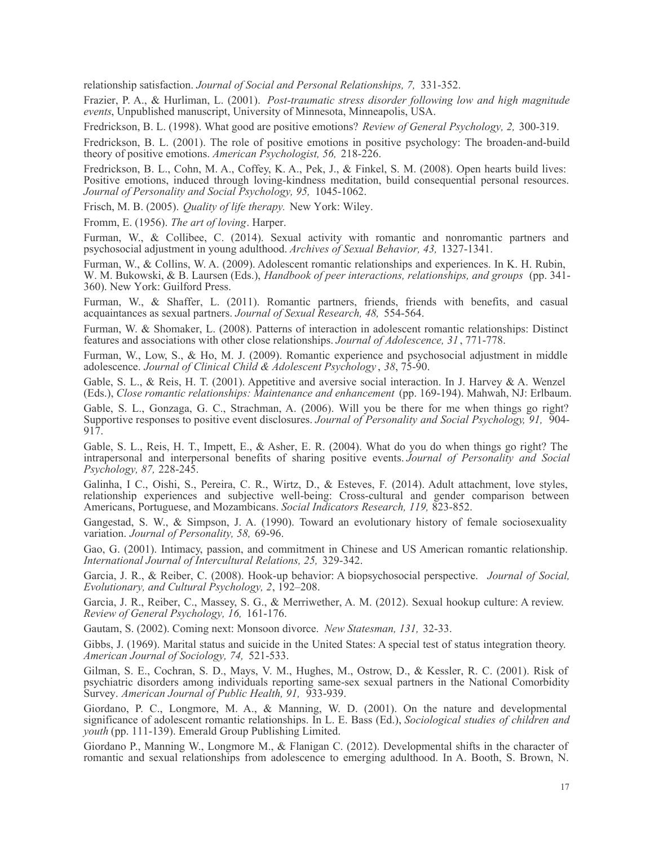relationship satisfaction. *Journal of Social and Personal Relationships, 7,* 331-352.

Frazier, P. A., & Hurliman, L. (2001). *Post-traumatic stress disorder following low and high magnitude events*, Unpublished manuscript, University of Minnesota, Minneapolis, USA.

Fredrickson, B. L. (1998). What good are positive emotions? *Review of General Psychology, 2,* 300-319.

Fredrickson, B. L. (2001). The role of positive emotions in positive psychology: The broaden-and-build theory of positive emotions. *American Psychologist, 56,* 218-226.

Fredrickson, B. L., Cohn, M. A., Coffey, K. A., Pek, J., & Finkel, S. M. (2008). Open hearts build lives: Positive emotions, induced through loving-kindness meditation, build consequential personal resources. *Journal of Personality and Social Psychology, 95,* 1045-1062.

Frisch, M. B. (2005). *Quality of life therapy.* New York: Wiley.

Fromm, E. (1956). *The art of loving*. Harper.

Furman, W., & Collibee, C. (2014). Sexual activity with romantic and nonromantic partners and psychosocial adjustment in young adulthood. *Archives of Sexual Behavior, 43,* 1327-1341.

Furman, W., & Collins, W. A. (2009). Adolescent romantic relationships and experiences. In K. H. Rubin, W. M. Bukowski, & B. Laursen (Eds.), *Handbook of peer interactions, relationships, and groups* (pp. 341- 360). New York: Guilford Press.

Furman, W., & Shaffer, L. (2011). Romantic partners, friends, friends with benefits, and casual acquaintances as sexual partners. *Journal of Sexual Research, 48,* 554-564.

Furman, W. & Shomaker, L. (2008). Patterns of interaction in adolescent romantic relationships: Distinct features and associations with other close relationships. *Journal of Adolescence, 31* , 771-778.

Furman, W., Low, S., & Ho, M. J. (2009). Romantic experience and psychosocial adjustment in middle adolescence. *Journal of Clinical Child & Adolescent Psychology* , *38*, 75-90.

Gable, S. L., & Reis, H. T. (2001). Appetitive and aversive social interaction. In J. Harvey & A. Wenzel (Eds.), *Close romantic relationships: Maintenance and enhancement* (pp. 169-194). Mahwah, NJ: Erlbaum.

Gable, S. L., Gonzaga, G. C., Strachman, A. (2006). Will you be there for me when things go right? Supportive responses to positive event disclosures. *Journal of Personality and Social Psychology, 91,* 904- 917.

Gable, S. L., Reis, H. T., Impett, E., & Asher, E. R. (2004). What do you do when things go right? The intrapersonal and interpersonal benefits of sharing positive events. *Journal of Personality and Social Psychology, 87,* 228-245.

Galinha, I C., Oishi, S., Pereira, C. R., Wirtz, D., & Esteves, F. (2014). Adult attachment, love styles, relationship experiences and subjective well-being: Cross-cultural and gender comparison between Americans, Portuguese, and Mozambicans. *Social Indicators Research, 119,* 823-852.

Gangestad, S. W., & Simpson, J. A. (1990). Toward an evolutionary history of female sociosexuality variation. *Journal of Personality, 58,* 69-96.

Gao, G. (2001). Intimacy, passion, and commitment in Chinese and US American romantic relationship. *International Journal of Intercultural Relations, 25,* 329-342.

Garcia, J. R., & Reiber, C. (2008). Hook-up behavior: A biopsychosocial perspective. *Journal of Social, Evolutionary, and Cultural Psychology, 2*, 192–208.

Garcia, J. R., Reiber, C., Massey, S. G., & Merriwether, A. M. (2012). Sexual hookup culture: A review. *Review of General Psychology, 16,* 161-176.

Gautam, S. (2002). Coming next: Monsoon divorce. *New Statesman, 131,* 32-33.

Gibbs, J. (1969). Marital status and suicide in the United States: A special test of status integration theory. *American Journal of Sociology, 74,* 521-533.

Gilman, S. E., Cochran, S. D., Mays, V. M., Hughes, M., Ostrow, D., & Kessler, R. C. (2001). Risk of psychiatric disorders among individuals reporting same-sex sexual partners in the National Comorbidity Survey. *American Journal of Public Health, 91,* 933-939.

Giordano, P. C., Longmore, M. A., & Manning, W. D. (2001). On the nature and developmental significance of adolescent romantic relationships. In L. E. Bass (Ed.), *Sociological studies of children and youth* (pp. 111-139). Emerald Group Publishing Limited.

Giordano P., Manning W., Longmore M., & Flanigan C. (2012). Developmental shifts in the character of romantic and sexual relationships from adolescence to emerging adulthood. In A. Booth, S. Brown, N.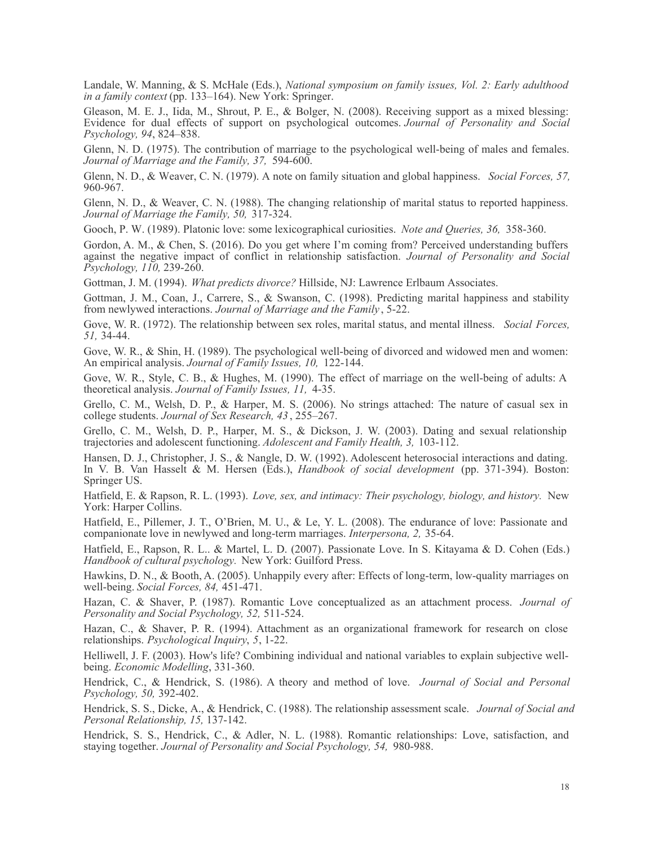Landale, W. Manning, & S. McHale (Eds.), *National symposium on family issues, Vol. 2: Early adulthood in a family context* (pp. 133–164). New York: Springer.

Gleason, M. E. J., Iida, M., Shrout, P. E., & Bolger, N. (2008). Receiving support as a mixed blessing: Evidence for dual effects of support on psychological outcomes. *Journal of Personality and Social Psychology, 94*, 824–838.

Glenn, N. D. (1975). The contribution of marriage to the psychological well-being of males and females. *Journal of Marriage and the Family, 37,* 594-600.

Glenn, N. D., & Weaver, C. N. (1979). A note on family situation and global happiness. *Social Forces, 57,* 960-967.

Glenn, N. D., & Weaver, C. N. (1988). The changing relationship of marital status to reported happiness. *Journal of Marriage the Family, 50,* 317-324.

Gooch, P. W. (1989). Platonic love: some lexicographical curiosities. *Note and Queries, 36,* 358-360.

Gordon, A. M., & Chen, S. (2016). Do you get where I'm coming from? Perceived understanding buffers against the negative impact of conflict in relationship satisfaction. *Journal of Personality and Social Psychology, 110,* 239-260.

Gottman, J. M. (1994). *What predicts divorce?* Hillside, NJ: Lawrence Erlbaum Associates.

Gottman, J. M., Coan, J., Carrere, S., & Swanson, C. (1998). Predicting marital happiness and stability from newlywed interactions. *Journal of Marriage and the Family* , 5-22.

Gove, W. R. (1972). The relationship between sex roles, marital status, and mental illness. *Social Forces, 51,* 34-44.

Gove, W. R., & Shin, H. (1989). The psychological well-being of divorced and widowed men and women: An empirical analysis. *Journal of Family Issues, 10,* 122-144.

Gove, W. R., Style, C. B., & Hughes, M. (1990). The effect of marriage on the well-being of adults: A theoretical analysis. *Journal of Family Issues, 11,* 4-35.

Grello, C. M., Welsh, D. P., & Harper, M. S. (2006). No strings attached: The nature of casual sex in college students. *Journal of Sex Research, 43* , 255–267.

Grello, C. M., Welsh, D. P., Harper, M. S., & Dickson, J. W. (2003). Dating and sexual relationship trajectories and adolescent functioning. *Adolescent and Family Health, 3,* 103-112.

Hansen, D. J., Christopher, J. S., & Nangle, D. W. (1992). Adolescent heterosocial interactions and dating. In V. B. Van Hasselt & M. Hersen (Eds.), *Handbook of social development* (pp. 371-394). Boston: Springer US.

Hatfield, E. & Rapson, R. L. (1993). *Love, sex, and intimacy: Their psychology, biology, and history.* New York: Harper Collins.

Hatfield, E., Pillemer, J. T., O'Brien, M. U., & Le, Y. L. (2008). The endurance of love: Passionate and companionate love in newlywed and long-term marriages. *Interpersona, 2,* 35-64.

Hatfield, E., Rapson, R. L.. & Martel, L. D. (2007). Passionate Love. In S. Kitayama & D. Cohen (Eds.) *Handbook of cultural psychology.* New York: Guilford Press.

Hawkins, D. N., & Booth, A. (2005). Unhappily every after: Effects of long-term, low-quality marriages on well-being. *Social Forces, 84,* 451-471.

Hazan, C. & Shaver, P. (1987). Romantic Love conceptualized as an attachment process. *Journal of Personality and Social Psychology, 52,* 511-524.

Hazan, C., & Shaver, P. R. (1994). Attachment as an organizational framework for research on close relationships. *Psychological Inquiry*, *5*, 1-22.

Helliwell, J. F. (2003). How's life? Combining individual and national variables to explain subjective wellbeing. *Economic Modelling*, 331-360.

Hendrick, C., & Hendrick, S. (1986). A theory and method of love. *Journal of Social and Personal Psychology, 50,* 392-402.

Hendrick, S. S., Dicke, A., & Hendrick, C. (1988). The relationship assessment scale. *Journal of Social and Personal Relationship, 15,* 137-142.

Hendrick, S. S., Hendrick, C., & Adler, N. L. (1988). Romantic relationships: Love, satisfaction, and staying together. *Journal of Personality and Social Psychology, 54,* 980-988.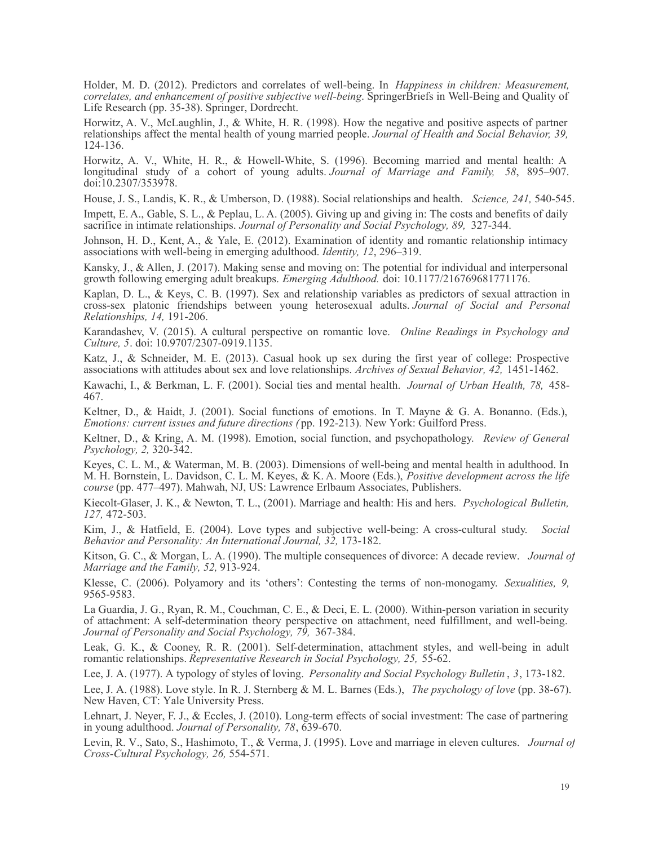Holder, M. D. (2012). Predictors and correlates of well-being. In *Happiness in children: Measurement, correlates, and enhancement of positive subjective well-being*. SpringerBriefs in Well-Being and Quality of Life Research (pp. 35-38). Springer, Dordrecht.

Horwitz, A. V., McLaughlin, J., & White, H. R. (1998). How the negative and positive aspects of partner relationships affect the mental health of young married people. *Journal of Health and Social Behavior, 39,* 124-136.

Horwitz, A. V., White, H. R., & Howell-White, S. (1996). Becoming married and mental health: A longitudinal study of a cohort of young adults. *Journal of Marriage and Family, 58*, 895–907. doi:10.2307/353978.

House, J. S., Landis, K. R., & Umberson, D. (1988). Social relationships and health. *Science, 241,* 540-545.

Impett, E. A., Gable, S. L., & Peplau, L. A. (2005). Giving up and giving in: The costs and benefits of daily sacrifice in intimate relationships. *Journal of Personality and Social Psychology, 89,* 327-344.

Johnson, H. D., Kent, A., & Yale, E. (2012). Examination of identity and romantic relationship intimacy associations with well-being in emerging adulthood. *Identity, 12*, 296–319.

Kansky, J., & Allen, J. (2017). Making sense and moving on: The potential for individual and interpersonal growth following emerging adult breakups. *Emerging Adulthood.* doi: 10.1177/216769681771176.

Kaplan, D. L., & Keys, C. B. (1997). Sex and relationship variables as predictors of sexual attraction in cross-sex platonic friendships between young heterosexual adults. *Journal of Social and Personal Relationships, 14,* 191-206.

Karandashev, V. (2015). A cultural perspective on romantic love. *Online Readings in Psychology and Culture, 5*. doi: 10.9707/2307-0919.1135.

Katz, J., & Schneider, M. E. (2013). Casual hook up sex during the first year of college: Prospective associations with attitudes about sex and love relationships. *Archives of Sexual Behavior, 42,* 1451-1462.

Kawachi, I., & Berkman, L. F. (2001). Social ties and mental health. *Journal of Urban Health, 78,* 458- 467.

Keltner, D., & Haidt, J. (2001). Social functions of emotions. In T. Mayne & G. A. Bonanno. (Eds.), *Emotions: current issues and future directions (* pp. 192-213)*.* New York: Guilford Press.

Keltner, D., & Kring, A. M. (1998). Emotion, social function, and psychopathology. *Review of General Psychology, 2,* 320-342.

Keyes, C. L. M., & Waterman, M. B. (2003). Dimensions of well-being and mental health in adulthood. In M. H. Bornstein, L. Davidson, C. L. M. Keyes, & K. A. Moore (Eds.), *Positive development across the life course* (pp. 477–497). Mahwah, NJ, US: Lawrence Erlbaum Associates, Publishers.

Kiecolt-Glaser, J. K., & Newton, T. L., (2001). Marriage and health: His and hers. *Psychological Bulletin, 127,* 472-503.

Kim, J., & Hatfield, E. (2004). Love types and subjective well-being: A cross-cultural study. *Social Behavior and Personality: An International Journal, 32,* 173-182.

Kitson, G. C., & Morgan, L. A. (1990). The multiple consequences of divorce: A decade review. *Journal of Marriage and the Family, 52,* 913-924.

Klesse, C. (2006). Polyamory and its 'others': Contesting the terms of non-monogamy. *Sexualities, 9,* 9565-9583.

La Guardia, J. G., Ryan, R. M., Couchman, C. E., & Deci, E. L. (2000). Within-person variation in security of attachment: A self-determination theory perspective on attachment, need fulfillment, and well-being. *Journal of Personality and Social Psychology, 79,* 367-384.

Leak, G. K., & Cooney, R. R. (2001). Self-determination, attachment styles, and well-being in adult romantic relationships. *Representative Research in Social Psychology, 25,* 55-62.

Lee, J. A. (1977). A typology of styles of loving. *Personality and Social Psychology Bulletin* , *3*, 173-182.

Lee, J. A. (1988). Love style. In R. J. Sternberg & M. L. Barnes (Eds.), *The psychology of love* (pp. 38-67). New Haven, CT: Yale University Press.

Lehnart, J. Neyer, F. J., & Eccles, J. (2010). Long-term effects of social investment: The case of partnering in young adulthood. *Journal of Personality, 78*, 639-670.

Levin, R. V., Sato, S., Hashimoto, T., & Verma, J. (1995). Love and marriage in eleven cultures. *Journal of Cross-Cultural Psychology, 26,* 554-571.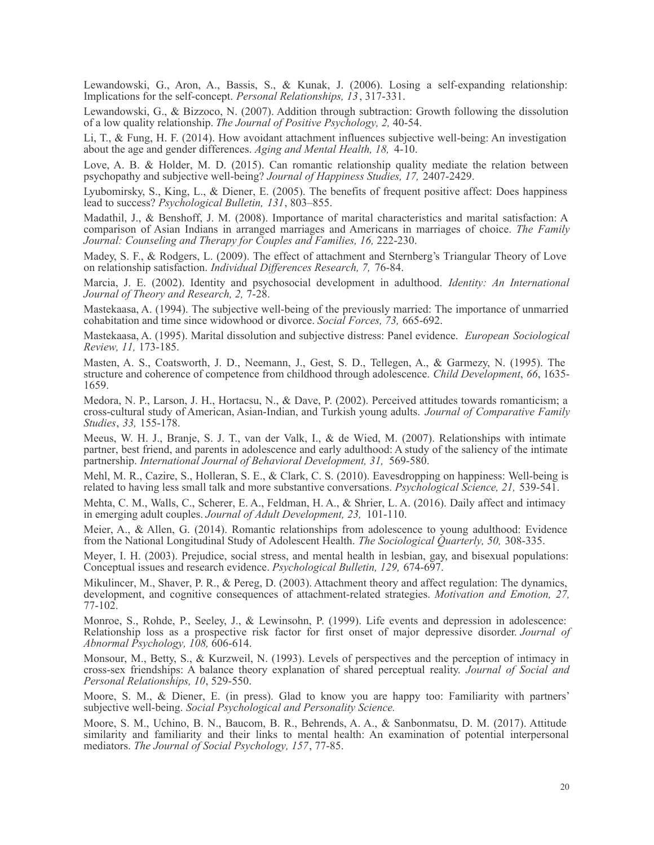Lewandowski, G., Aron, A., Bassis, S., & Kunak, J. (2006). Losing a self-expanding relationship: Implications for the self-concept. *Personal Relationships, 13*, 317-331.

Lewandowski, G., & Bizzoco, N. (2007). Addition through subtraction: Growth following the dissolution of a low quality relationship. *The Journal of Positive Psychology, 2,* 40-54.

Li, T., & Fung, H. F. (2014). How avoidant attachment influences subjective well-being: An investigation about the age and gender differences. *Aging and Mental Health, 18,* 4-10.

Love, A. B. & Holder, M. D. (2015). Can romantic relationship quality mediate the relation between psychopathy and subjective well-being? *Journal of Happiness Studies, 17,* 2407-2429.

Lyubomirsky, S., King, L., & Diener, E. (2005). The benefits of frequent positive affect: Does happiness lead to success? *Psychological Bulletin, 131*, 803–855.

Madathil, J., & Benshoff, J. M. (2008). Importance of marital characteristics and marital satisfaction: A comparison of Asian Indians in arranged marriages and Americans in marriages of choice. *The Family Journal: Counseling and Therapy for Couples and Families, 16,* 222-230.

Madey, S. F., & Rodgers, L. (2009). The effect of attachment and Sternberg's Triangular Theory of Love on relationship satisfaction. *Individual Differences Research, 7,* 76-84.

Marcia, J. E. (2002). Identity and psychosocial development in adulthood. *Identity: An International Journal of Theory and Research, 2,* 7-28.

Mastekaasa, A. (1994). The subjective well-being of the previously married: The importance of unmarried cohabitation and time since widowhood or divorce. *Social Forces, 73,* 665-692.

Mastekaasa, A. (1995). Marital dissolution and subjective distress: Panel evidence. *European Sociological Review, 11,* 173-185.

Masten, A. S., Coatsworth, J. D., Neemann, J., Gest, S. D., Tellegen, A., & Garmezy, N. (1995). The structure and coherence of competence from childhood through adolescence. *Child Development*, *66*, 1635- 1659.

Medora, N. P., Larson, J. H., Hortacsu, N., & Dave, P. (2002). Perceived attitudes towards romanticism; a cross-cultural study of American, Asian-Indian, and Turkish young adults. *Journal of Comparative Family Studies*, *33,* 155-178.

Meeus, W. H. J., Branje, S. J. T., van der Valk, I., & de Wied, M. (2007). Relationships with intimate partner, best friend, and parents in adolescence and early adulthood: A study of the saliency of the intimate partnership. *International Journal of Behavioral Development, 31,* 569-580.

Mehl, M. R., Cazire, S., Holleran, S. E., & Clark, C. S. (2010). Eavesdropping on happiness: Well-being is related to having less small talk and more substantive conversations. *Psychological Science, 21,* 539-541.

Mehta, C. M., Walls, C., Scherer, E. A., Feldman, H. A., & Shrier, L. A. (2016). Daily affect and intimacy in emerging adult couples. *Journal of Adult Development, 23,* 101-110.

Meier, A., & Allen, G. (2014). Romantic relationships from adolescence to young adulthood: Evidence from the National Longitudinal Study of Adolescent Health. *The Sociological Quarterly, 50,* 308-335.

Meyer, I. H. (2003). Prejudice, social stress, and mental health in lesbian, gay, and bisexual populations: Conceptual issues and research evidence. *Psychological Bulletin, 129,* 674-697.

Mikulincer, M., Shaver, P. R., & Pereg, D. (2003). Attachment theory and affect regulation: The dynamics, development, and cognitive consequences of attachment-related strategies. *Motivation and Emotion, 27,* 77-102.

Monroe, S., Rohde, P., Seeley, J., & Lewinsohn, P. (1999). Life events and depression in adolescence: Relationship loss as a prospective risk factor for first onset of major depressive disorder. *Journal of Abnormal Psychology, 108,* 606-614.

Monsour, M., Betty, S., & Kurzweil, N. (1993). Levels of perspectives and the perception of intimacy in cross-sex friendships: A balance theory explanation of shared perceptual reality. *Journal of Social and Personal Relationships, 10*, 529-550.

Moore, S. M., & Diener, E. (in press). Glad to know you are happy too: Familiarity with partners' subjective well-being. *Social Psychological and Personality Science.*

Moore, S. M., Uchino, B. N., Baucom, B. R., Behrends, A. A., & Sanbonmatsu, D. M. (2017). Attitude similarity and familiarity and their links to mental health: An examination of potential interpersonal mediators. *The Journal of Social Psychology, 157*, 77-85.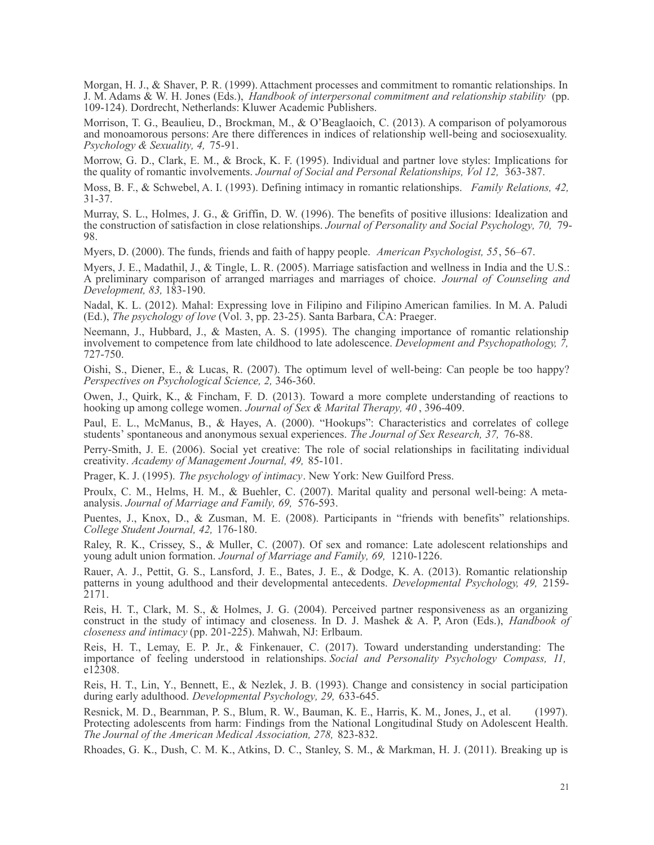Morgan, H. J., & Shaver, P. R. (1999). Attachment processes and commitment to romantic relationships. In J. M. Adams & W. H. Jones (Eds.), *Handbook of interpersonal commitment and relationship stability* (pp. 109-124). Dordrecht, Netherlands: Kluwer Academic Publishers.

Morrison, T. G., Beaulieu, D., Brockman, M., & O'Beaglaoich, C. (2013). A comparison of polyamorous and monoamorous persons: Are there differences in indices of relationship well-being and sociosexuality. *Psychology & Sexuality, 4,* 75-91.

Morrow, G. D., Clark, E. M., & Brock, K. F. (1995). Individual and partner love styles: Implications for the quality of romantic involvements. *Journal of Social and Personal Relationships, Vol 12,* 363-387.

Moss, B. F., & Schwebel, A. I. (1993). Defining intimacy in romantic relationships. *Family Relations, 42,* 31-37.

Murray, S. L., Holmes, J. G., & Griffin, D. W. (1996). The benefits of positive illusions: Idealization and the construction of satisfaction in close relationships. *Journal of Personality and Social Psychology, 70,* 79- 98.

Myers, D. (2000). The funds, friends and faith of happy people. *American Psychologist, 55*, 56–67.

Myers, J. E., Madathil, J., & Tingle, L. R. (2005). Marriage satisfaction and wellness in India and the U.S.: A preliminary comparison of arranged marriages and marriages of choice. *Journal of Counseling and Development, 83,* 183-190.

Nadal, K. L. (2012). Mahal: Expressing love in Filipino and Filipino American families. In M. A. Paludi (Ed.), *The psychology of love* (Vol. 3, pp. 23-25). Santa Barbara, CA: Praeger.

Neemann, J., Hubbard, J., & Masten, A. S. (1995). The changing importance of romantic relationship involvement to competence from late childhood to late adolescence. *Development and Psychopathology, 7,* 727-750.

Oishi, S., Diener, E., & Lucas, R. (2007). The optimum level of well-being: Can people be too happy? *Perspectives on Psychological Science, 2,* 346-360.

Owen, J., Quirk, K., & Fincham, F. D. (2013). Toward a more complete understanding of reactions to hooking up among college women. *Journal of Sex & Marital Therapy, 40* , 396-409.

Paul, E. L., McManus, B., & Hayes, A. (2000). "Hookups": Characteristics and correlates of college students' spontaneous and anonymous sexual experiences. *The Journal of Sex Research, 37,* 76-88.

Perry-Smith, J. E. (2006). Social yet creative: The role of social relationships in facilitating individual creativity. *Academy of Management Journal, 49,* 85-101.

Prager, K. J. (1995). *The psychology of intimacy*. New York: New Guilford Press.

Proulx, C. M., Helms, H. M., & Buehler, C. (2007). Marital quality and personal well-being: A metaanalysis. *Journal of Marriage and Family, 69,* 576-593.

Puentes, J., Knox, D., & Zusman, M. E. (2008). Participants in "friends with benefits" relationships. *College Student Journal, 42,* 176-180.

Raley, R. K., Crissey, S., & Muller, C. (2007). Of sex and romance: Late adolescent relationships and young adult union formation. *Journal of Marriage and Family, 69,* 1210-1226.

Rauer, A. J., Pettit, G. S., Lansford, J. E., Bates, J. E., & Dodge, K. A. (2013). Romantic relationship patterns in young adulthood and their developmental antecedents. *Developmental Psychology, 49,* 2159- 2171.

Reis, H. T., Clark, M. S., & Holmes, J. G. (2004). Perceived partner responsiveness as an organizing construct in the study of intimacy and closeness. In D. J. Mashek & A. P, Aron (Eds.), *Handbook of closeness and intimacy* (pp. 201-225). Mahwah, NJ: Erlbaum.

Reis, H. T., Lemay, E. P. Jr., & Finkenauer, C. (2017). Toward understanding understanding: The importance of feeling understood in relationships. *Social and Personality Psychology Compass, 11,* e12308.

Reis, H. T., Lin, Y., Bennett, E., & Nezlek, J. B. (1993). Change and consistency in social participation during early adulthood. *Developmental Psychology, 29,* 633-645.

Resnick, M. D., Bearnman, P. S., Blum, R. W., Bauman, K. E., Harris, K. M., Jones, J., et al. (1997). Protecting adolescents from harm: Findings from the National Longitudinal Study on Adolescent Health. *The Journal of the American Medical Association, 278,* 823-832.

Rhoades, G. K., Dush, C. M. K., Atkins, D. C., Stanley, S. M., & Markman, H. J. (2011). Breaking up is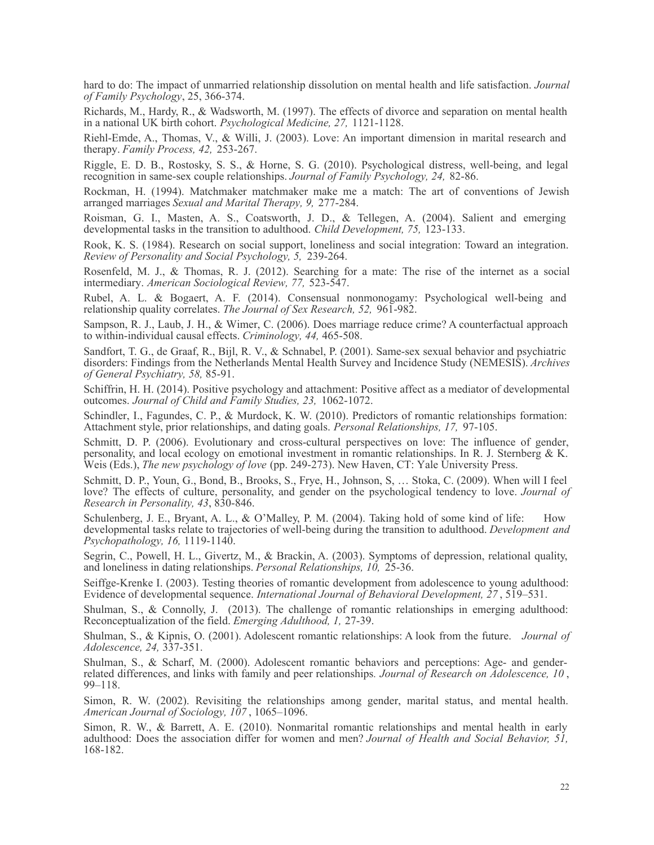hard to do: The impact of unmarried relationship dissolution on mental health and life satisfaction. *Journal of Family Psychology*, 25, 366-374.

Richards, M., Hardy, R., & Wadsworth, M. (1997). The effects of divorce and separation on mental health in a national UK birth cohort. *Psychological Medicine, 27,* 1121-1128.

Riehl-Emde, A., Thomas, V., & Willi, J. (2003). Love: An important dimension in marital research and therapy. *Family Process, 42,* 253-267.

Riggle, E. D. B., Rostosky, S. S., & Horne, S. G. (2010). Psychological distress, well-being, and legal recognition in same-sex couple relationships. *Journal of Family Psychology, 24,* 82-86.

Rockman, H. (1994). Matchmaker matchmaker make me a match: The art of conventions of Jewish arranged marriages *Sexual and Marital Therapy, 9,* 277-284.

Roisman, G. I., Masten, A. S., Coatsworth, J. D., & Tellegen, A. (2004). Salient and emerging developmental tasks in the transition to adulthood. *Child Development, 75,* 123-133.

Rook, K. S. (1984). Research on social support, loneliness and social integration: Toward an integration. *Review of Personality and Social Psychology, 5,* 239-264.

Rosenfeld, M. J., & Thomas, R. J. (2012). Searching for a mate: The rise of the internet as a social intermediary. *American Sociological Review, 77,* 523-547.

Rubel, A. L. & Bogaert, A. F. (2014). Consensual nonmonogamy: Psychological well-being and relationship quality correlates. *The Journal of Sex Research, 52,* 961-982.

Sampson, R. J., Laub, J. H., & Wimer, C. (2006). Does marriage reduce crime? A counterfactual approach to within-individual causal effects. *Criminology, 44,* 465-508.

Sandfort, T. G., de Graaf, R., Bijl, R. V., & Schnabel, P. (2001). Same-sex sexual behavior and psychiatric disorders: Findings from the Netherlands Mental Health Survey and Incidence Study (NEMESIS). *Archives of General Psychiatry, 58,* 85-91.

Schiffrin, H. H. (2014). Positive psychology and attachment: Positive affect as a mediator of developmental outcomes. *Journal of Child and Family Studies, 23,* 1062-1072.

Schindler, I., Fagundes, C. P., & Murdock, K. W. (2010). Predictors of romantic relationships formation: Attachment style, prior relationships, and dating goals. *Personal Relationships, 17,* 97-105.

Schmitt, D. P. (2006). Evolutionary and cross-cultural perspectives on love: The influence of gender, personality, and local ecology on emotional investment in romantic relationships. In R. J. Sternberg & K. Weis (Eds.), *The new psychology of love* (pp. 249-273). New Haven, CT: Yale University Press.

Schmitt, D. P., Youn, G., Bond, B., Brooks, S., Frye, H., Johnson, S, … Stoka, C. (2009). When will I feel love? The effects of culture, personality, and gender on the psychological tendency to love. *Journal of Research in Personality, 43*, 830-846.

Schulenberg, J. E., Bryant, A. L., & O'Malley, P. M. (2004). Taking hold of some kind of life: How developmental tasks relate to trajectories of well-being during the transition to adulthood. *Development and Psychopathology, 16,* 1119-1140.

Segrin, C., Powell, H. L., Givertz, M., & Brackin, A. (2003). Symptoms of depression, relational quality, and loneliness in dating relationships. *Personal Relationships, 10,* 25-36.

Seiffge-Krenke I. (2003). Testing theories of romantic development from adolescence to young adulthood: Evidence of developmental sequence. *International Journal of Behavioral Development, 27* , 519–531.

Shulman, S., & Connolly, J. (2013). The challenge of romantic relationships in emerging adulthood: Reconceptualization of the field. *Emerging Adulthood, 1,* 27-39.

Shulman, S., & Kipnis, O. (2001). Adolescent romantic relationships: A look from the future. *Journal of Adolescence, 24,* 337-351.

Shulman, S., & Scharf, M. (2000). Adolescent romantic behaviors and perceptions: Age- and genderrelated differences, and links with family and peer relationships*. Journal of Research on Adolescence, 10* , 99–118.

Simon, R. W. (2002). Revisiting the relationships among gender, marital status, and mental health. *American Journal of Sociology, 107* , 1065–1096.

Simon, R. W., & Barrett, A. E. (2010). Nonmarital romantic relationships and mental health in early adulthood: Does the association differ for women and men? *Journal of Health and Social Behavior, 51,* 168-182.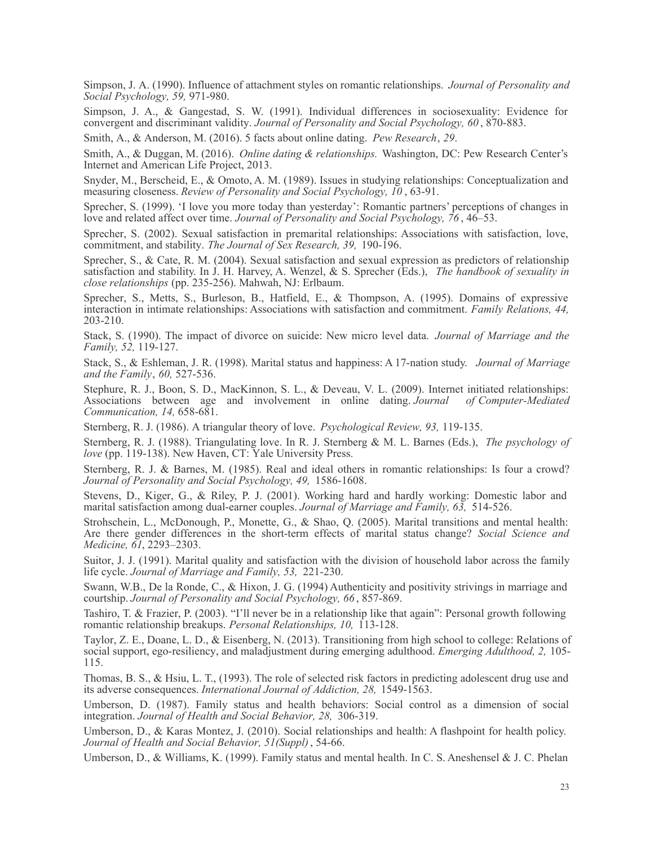Simpson, J. A. (1990). Influence of attachment styles on romantic relationships. *Journal of Personality and Social Psychology, 59,* 971-980.

Simpson, J. A., & Gangestad, S. W. (1991). Individual differences in sociosexuality: Evidence for convergent and discriminant validity. *Journal of Personality and Social Psychology, 60* , 870-883.

Smith, A., & Anderson, M. (2016). 5 facts about online dating. *Pew Research*, *29*.

Smith, A., & Duggan, M. (2016). *Online dating & relationships.* Washington, DC: Pew Research Center's Internet and American Life Project, 2013.

Snyder, M., Berscheid, E., & Omoto, A. M. (1989). Issues in studying relationships: Conceptualization and measuring closeness. *Review of Personality and Social Psychology, 10* , 63-91.

Sprecher, S. (1999). 'I love you more today than yesterday': Romantic partners' perceptions of changes in love and related affect over time. *Journal of Personality and Social Psychology, 76* , 46–53.

Sprecher, S. (2002). Sexual satisfaction in premarital relationships: Associations with satisfaction, love, commitment, and stability. *The Journal of Sex Research, 39,* 190-196.

Sprecher, S., & Cate, R. M. (2004). Sexual satisfaction and sexual expression as predictors of relationship satisfaction and stability. In J. H. Harvey, A. Wenzel, & S. Sprecher (Eds.), *The handbook of sexuality in close relationships* (pp. 235-256). Mahwah, NJ: Erlbaum.

Sprecher, S., Metts, S., Burleson, B., Hatfield, E., & Thompson, A. (1995). Domains of expressive interaction in intimate relationships: Associations with satisfaction and commitment. *Family Relations, 44,* 203-210.

Stack, S. (1990). The impact of divorce on suicide: New micro level data. *Journal of Marriage and the Family, 52,* 119-127.

Stack, S., & Eshleman, J. R. (1998). Marital status and happiness: A 17-nation study. *Journal of Marriage and the Family*, *60,* 527-536.

Stephure, R. J., Boon, S. D., MacKinnon, S. L., & Deveau, V. L. (2009). Internet initiated relationships: Associations between age and involvement in online dating. *Journal of Computer-Mediated Communication, 14,* 658-681.

Sternberg, R. J. (1986). A triangular theory of love. *Psychological Review, 93,* 119-135.

Sternberg, R. J. (1988). Triangulating love. In R. J. Sternberg & M. L. Barnes (Eds.), *The psychology of love* (pp. 119-138). New Haven, CT: Yale University Press.

Sternberg, R. J. & Barnes, M. (1985). Real and ideal others in romantic relationships: Is four a crowd? *Journal of Personality and Social Psychology, 49,* 1586-1608.

Stevens, D., Kiger, G., & Riley, P. J. (2001). Working hard and hardly working: Domestic labor and marital satisfaction among dual-earner couples. *Journal of Marriage and Family, 63,* 514-526.

Strohschein, L., McDonough, P., Monette, G., & Shao, Q. (2005). Marital transitions and mental health: Are there gender differences in the short-term effects of marital status change? *Social Science and Medicine, 61*, 2293–2303.

Suitor, J. J. (1991). Marital quality and satisfaction with the division of household labor across the family life cycle. *Journal of Marriage and Family, 53,* 221-230.

Swann, W.B., De la Ronde, C., & Hixon, J. G. (1994) Authenticity and positivity strivings in marriage and courtship. *Journal of Personality and Social Psychology, 66* , 857-869.

Tashiro, T. & Frazier, P. (2003). "I'll never be in a relationship like that again": Personal growth following romantic relationship breakups. *Personal Relationships, 10,* 113-128.

Taylor, Z. E., Doane, L. D., & Eisenberg, N. (2013). Transitioning from high school to college: Relations of social support, ego-resiliency, and maladjustment during emerging adulthood. *Emerging Adulthood, 2,* 105- 115.

Thomas, B. S., & Hsiu, L. T., (1993). The role of selected risk factors in predicting adolescent drug use and its adverse consequences. *International Journal of Addiction, 28,* 1549-1563.

Umberson, D. (1987). Family status and health behaviors: Social control as a dimension of social integration. *Journal of Health and Social Behavior, 28,* 306-319.

Umberson, D., & Karas Montez, J. (2010). Social relationships and health: A flashpoint for health policy. *Journal of Health and Social Behavior, 51(Suppl)*, 54-66.

Umberson, D., & Williams, K. (1999). Family status and mental health. In C. S. Aneshensel & J. C. Phelan